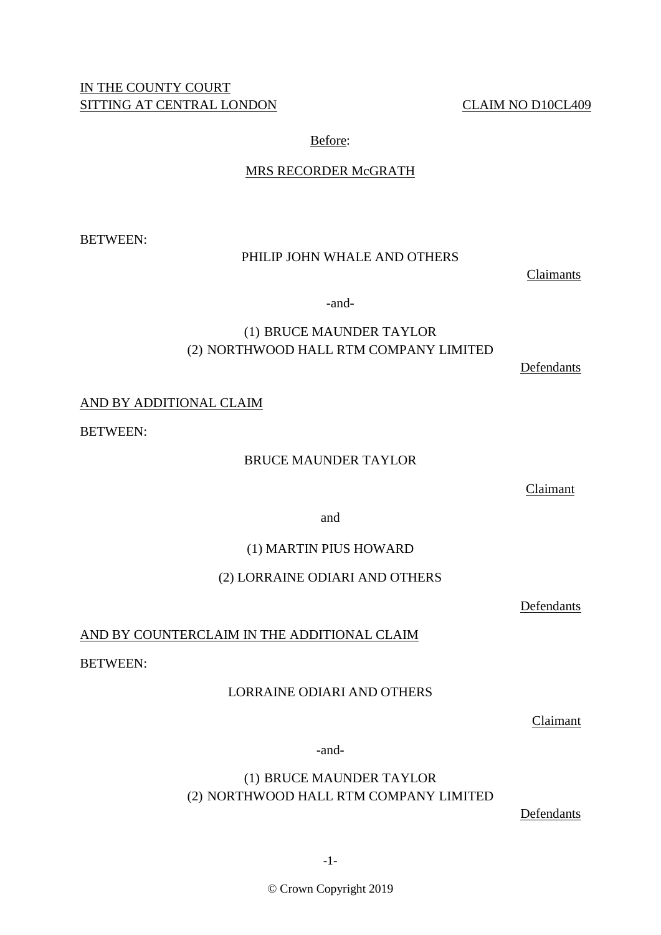# IN THE COUNTY COURT SITTING AT CENTRAL LONDON CLAIM NO D10CL409

# Before:

# MRS RECORDER McGRATH

BETWEEN:

# PHILIP JOHN WHALE AND OTHERS

Claimants

-and-

# (1) BRUCE MAUNDER TAYLOR (2) NORTHWOOD HALL RTM COMPANY LIMITED

Defendants

# AND BY ADDITIONAL CLAIM

BETWEEN:

# BRUCE MAUNDER TAYLOR

Claimant

and

# (1) MARTIN PIUS HOWARD

# (2) LORRAINE ODIARI AND OTHERS

Defendants

# AND BY COUNTERCLAIM IN THE ADDITIONAL CLAIM

BETWEEN:

# LORRAINE ODIARI AND OTHERS

Claimant

-and-

# (1) BRUCE MAUNDER TAYLOR (2) NORTHWOOD HALL RTM COMPANY LIMITED

Defendants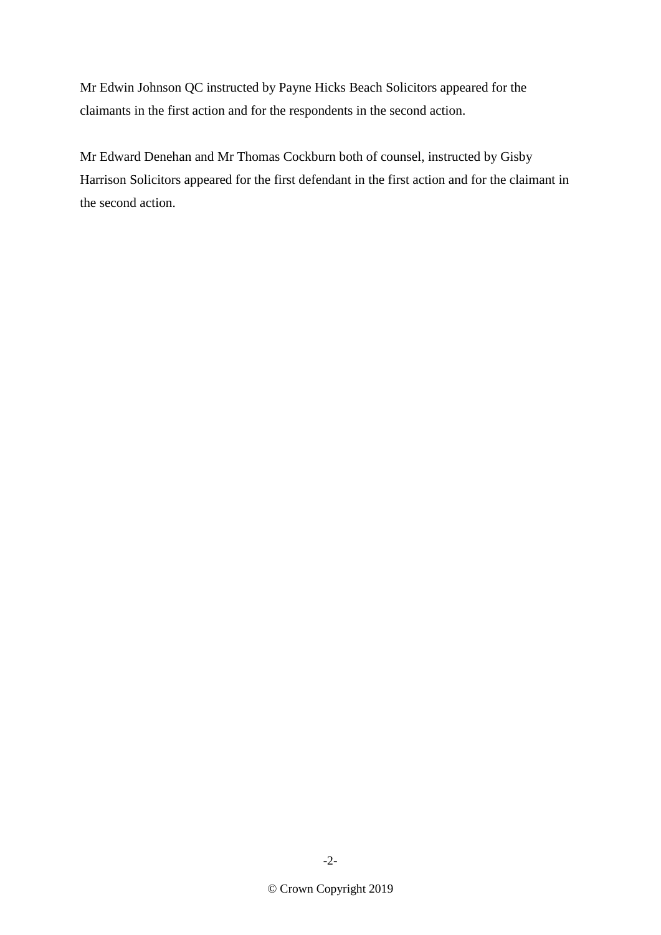Mr Edwin Johnson QC instructed by Payne Hicks Beach Solicitors appeared for the claimants in the first action and for the respondents in the second action.

Mr Edward Denehan and Mr Thomas Cockburn both of counsel, instructed by Gisby Harrison Solicitors appeared for the first defendant in the first action and for the claimant in the second action.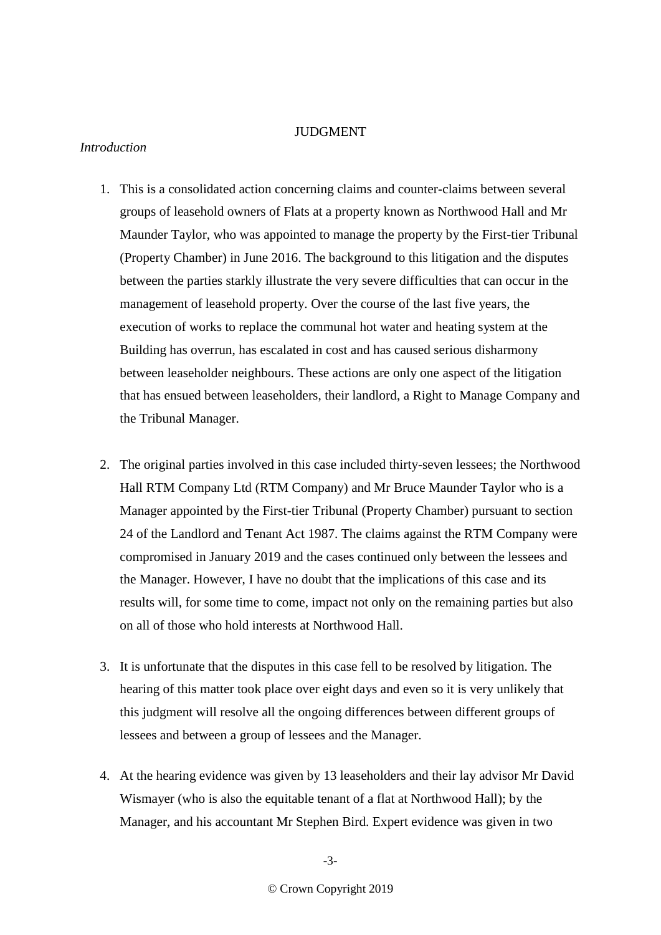## **JUDGMENT**

## *Introduction*

- 1. This is a consolidated action concerning claims and counter-claims between several groups of leasehold owners of Flats at a property known as Northwood Hall and Mr Maunder Taylor, who was appointed to manage the property by the First-tier Tribunal (Property Chamber) in June 2016. The background to this litigation and the disputes between the parties starkly illustrate the very severe difficulties that can occur in the management of leasehold property. Over the course of the last five years, the execution of works to replace the communal hot water and heating system at the Building has overrun, has escalated in cost and has caused serious disharmony between leaseholder neighbours. These actions are only one aspect of the litigation that has ensued between leaseholders, their landlord, a Right to Manage Company and the Tribunal Manager.
- 2. The original parties involved in this case included thirty-seven lessees; the Northwood Hall RTM Company Ltd (RTM Company) and Mr Bruce Maunder Taylor who is a Manager appointed by the First-tier Tribunal (Property Chamber) pursuant to section 24 of the Landlord and Tenant Act 1987. The claims against the RTM Company were compromised in January 2019 and the cases continued only between the lessees and the Manager. However, I have no doubt that the implications of this case and its results will, for some time to come, impact not only on the remaining parties but also on all of those who hold interests at Northwood Hall.
- 3. It is unfortunate that the disputes in this case fell to be resolved by litigation. The hearing of this matter took place over eight days and even so it is very unlikely that this judgment will resolve all the ongoing differences between different groups of lessees and between a group of lessees and the Manager.
- 4. At the hearing evidence was given by 13 leaseholders and their lay advisor Mr David Wismayer (who is also the equitable tenant of a flat at Northwood Hall); by the Manager, and his accountant Mr Stephen Bird. Expert evidence was given in two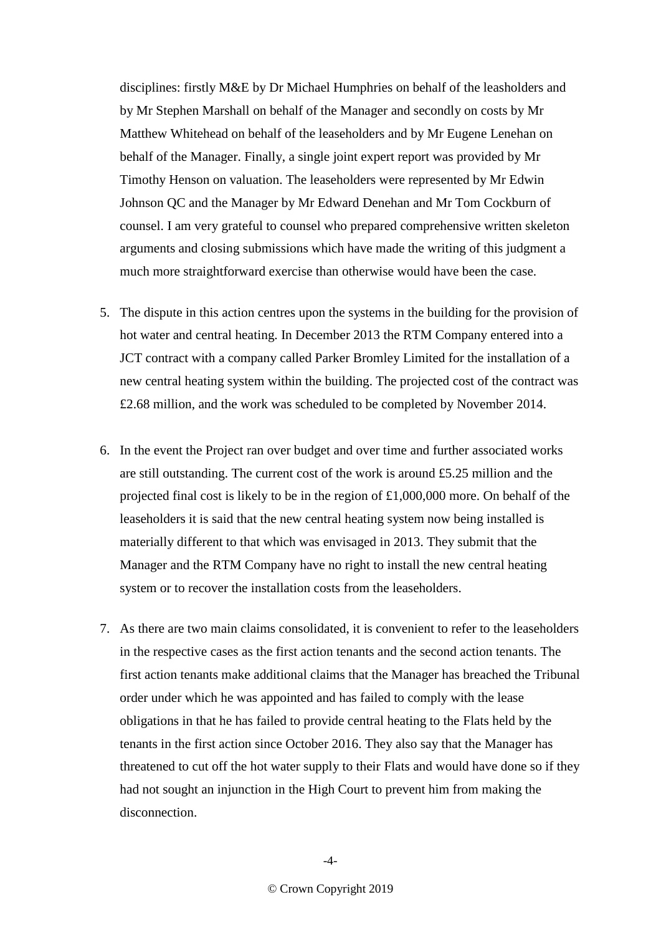disciplines: firstly M&E by Dr Michael Humphries on behalf of the leasholders and by Mr Stephen Marshall on behalf of the Manager and secondly on costs by Mr Matthew Whitehead on behalf of the leaseholders and by Mr Eugene Lenehan on behalf of the Manager. Finally, a single joint expert report was provided by Mr Timothy Henson on valuation. The leaseholders were represented by Mr Edwin Johnson QC and the Manager by Mr Edward Denehan and Mr Tom Cockburn of counsel. I am very grateful to counsel who prepared comprehensive written skeleton arguments and closing submissions which have made the writing of this judgment a much more straightforward exercise than otherwise would have been the case.

- 5. The dispute in this action centres upon the systems in the building for the provision of hot water and central heating. In December 2013 the RTM Company entered into a JCT contract with a company called Parker Bromley Limited for the installation of a new central heating system within the building. The projected cost of the contract was £2.68 million, and the work was scheduled to be completed by November 2014.
- 6. In the event the Project ran over budget and over time and further associated works are still outstanding. The current cost of the work is around £5.25 million and the projected final cost is likely to be in the region of £1,000,000 more. On behalf of the leaseholders it is said that the new central heating system now being installed is materially different to that which was envisaged in 2013. They submit that the Manager and the RTM Company have no right to install the new central heating system or to recover the installation costs from the leaseholders.
- 7. As there are two main claims consolidated, it is convenient to refer to the leaseholders in the respective cases as the first action tenants and the second action tenants. The first action tenants make additional claims that the Manager has breached the Tribunal order under which he was appointed and has failed to comply with the lease obligations in that he has failed to provide central heating to the Flats held by the tenants in the first action since October 2016. They also say that the Manager has threatened to cut off the hot water supply to their Flats and would have done so if they had not sought an injunction in the High Court to prevent him from making the disconnection.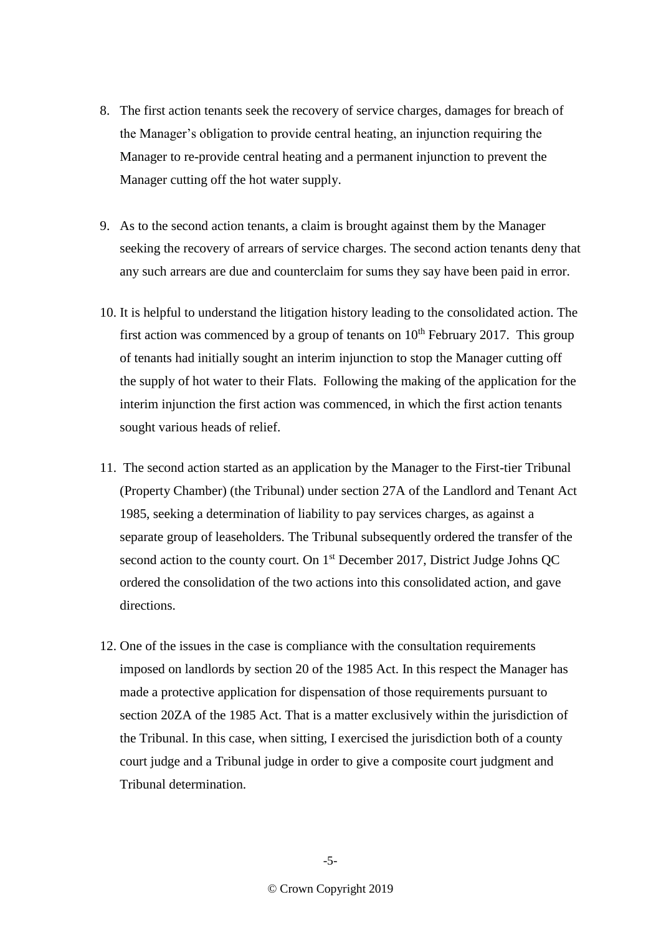- 8. The first action tenants seek the recovery of service charges, damages for breach of the Manager's obligation to provide central heating, an injunction requiring the Manager to re-provide central heating and a permanent injunction to prevent the Manager cutting off the hot water supply.
- 9. As to the second action tenants, a claim is brought against them by the Manager seeking the recovery of arrears of service charges. The second action tenants deny that any such arrears are due and counterclaim for sums they say have been paid in error.
- 10. It is helpful to understand the litigation history leading to the consolidated action. The first action was commenced by a group of tenants on  $10<sup>th</sup>$  February 2017. This group of tenants had initially sought an interim injunction to stop the Manager cutting off the supply of hot water to their Flats. Following the making of the application for the interim injunction the first action was commenced, in which the first action tenants sought various heads of relief.
- 11. The second action started as an application by the Manager to the First-tier Tribunal (Property Chamber) (the Tribunal) under section 27A of the Landlord and Tenant Act 1985, seeking a determination of liability to pay services charges, as against a separate group of leaseholders. The Tribunal subsequently ordered the transfer of the second action to the county court. On 1<sup>st</sup> December 2017, District Judge Johns QC ordered the consolidation of the two actions into this consolidated action, and gave directions.
- 12. One of the issues in the case is compliance with the consultation requirements imposed on landlords by section 20 of the 1985 Act. In this respect the Manager has made a protective application for dispensation of those requirements pursuant to section 20ZA of the 1985 Act. That is a matter exclusively within the jurisdiction of the Tribunal. In this case, when sitting, I exercised the jurisdiction both of a county court judge and a Tribunal judge in order to give a composite court judgment and Tribunal determination.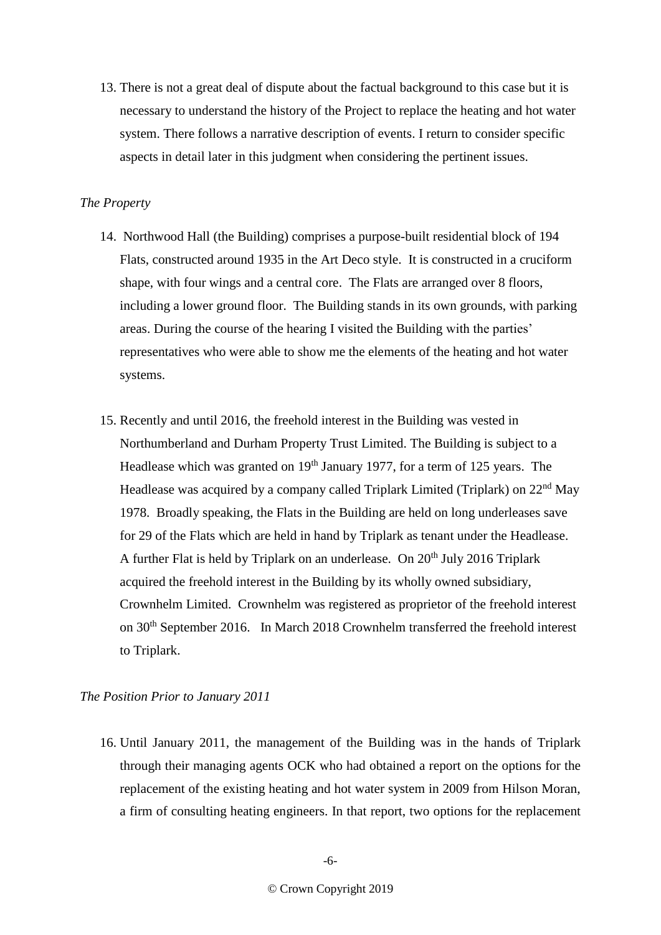13. There is not a great deal of dispute about the factual background to this case but it is necessary to understand the history of the Project to replace the heating and hot water system. There follows a narrative description of events. I return to consider specific aspects in detail later in this judgment when considering the pertinent issues.

## *The Property*

- 14. Northwood Hall (the Building) comprises a purpose-built residential block of 194 Flats, constructed around 1935 in the Art Deco style. It is constructed in a cruciform shape, with four wings and a central core. The Flats are arranged over 8 floors, including a lower ground floor. The Building stands in its own grounds, with parking areas. During the course of the hearing I visited the Building with the parties' representatives who were able to show me the elements of the heating and hot water systems.
- 15. Recently and until 2016, the freehold interest in the Building was vested in Northumberland and Durham Property Trust Limited. The Building is subject to a Headlease which was granted on  $19<sup>th</sup>$  January 1977, for a term of 125 years. The Headlease was acquired by a company called Triplark Limited (Triplark) on 22nd May 1978. Broadly speaking, the Flats in the Building are held on long underleases save for 29 of the Flats which are held in hand by Triplark as tenant under the Headlease. A further Flat is held by Triplark on an underlease. On  $20<sup>th</sup>$  July 2016 Triplark acquired the freehold interest in the Building by its wholly owned subsidiary, Crownhelm Limited. Crownhelm was registered as proprietor of the freehold interest on 30th September 2016. In March 2018 Crownhelm transferred the freehold interest to Triplark.

# *The Position Prior to January 2011*

16. Until January 2011, the management of the Building was in the hands of Triplark through their managing agents OCK who had obtained a report on the options for the replacement of the existing heating and hot water system in 2009 from Hilson Moran, a firm of consulting heating engineers. In that report, two options for the replacement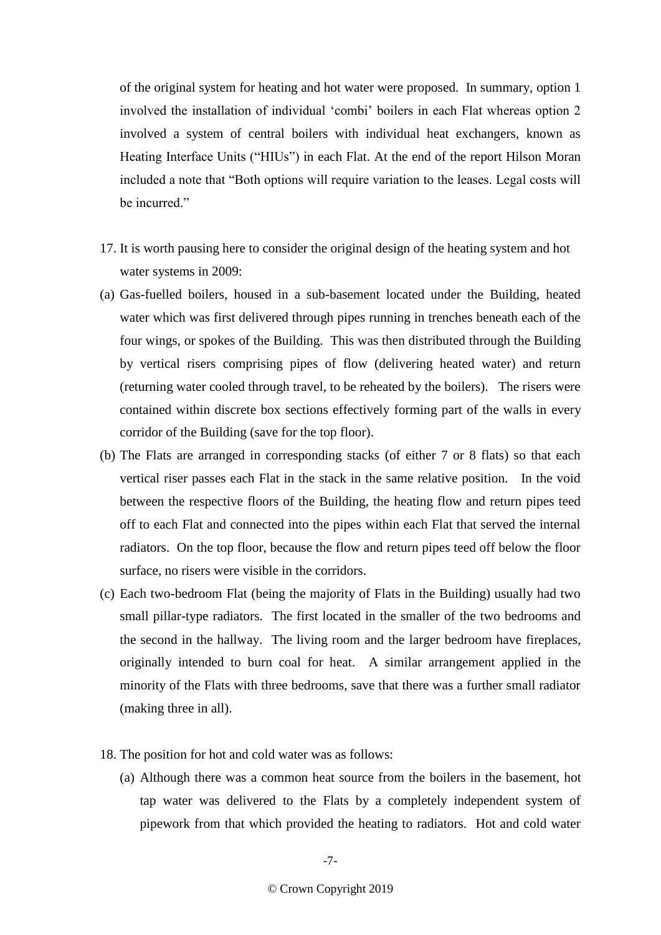of the original system for heating and hot water were proposed. In summary, option 1 involved the installation of individual 'combi' boilers in each Flat whereas option 2 involved a system of central boilers with individual heat exchangers, known as Heating Interface Units ("HIUs") in each Flat. At the end of the report Hilson Moran included a note that "Both options will require variation to the leases. Legal costs will be incurred."

- 17. It is worth pausing here to consider the original design of the heating system and hot water systems in 2009:
- (a) Gas-fuelled boilers, housed in a sub-basement located under the Building, heated water which was first delivered through pipes running in trenches beneath each of the four wings, or spokes of the Building. This was then distributed through the Building by vertical risers comprising pipes of flow (delivering heated water) and return (returning water cooled through travel, to be reheated by the boilers). The risers were contained within discrete box sections effectively forming part of the walls in every corridor of the Building (save for the top floor).
- (b) The Flats are arranged in corresponding stacks (of either 7 or 8 flats) so that each vertical riser passes each Flat in the stack in the same relative position. In the void between the respective floors of the Building, the heating flow and return pipes teed off to each Flat and connected into the pipes within each Flat that served the internal radiators. On the top floor, because the flow and return pipes teed off below the floor surface, no risers were visible in the corridors.
- (c) Each two-bedroom Flat (being the majority of Flats in the Building) usually had two small pillar-type radiators. The first located in the smaller of the two bedrooms and the second in the hallway. The living room and the larger bedroom have fireplaces, originally intended to burn coal for heat. A similar arrangement applied in the minority of the Flats with three bedrooms, save that there was a further small radiator (making three in all).
- 18. The position for hot and cold water was as follows:
	- (a) Although there was a common heat source from the boilers in the basement, hot tap water was delivered to the Flats by a completely independent system of pipework from that which provided the heating to radiators. Hot and cold water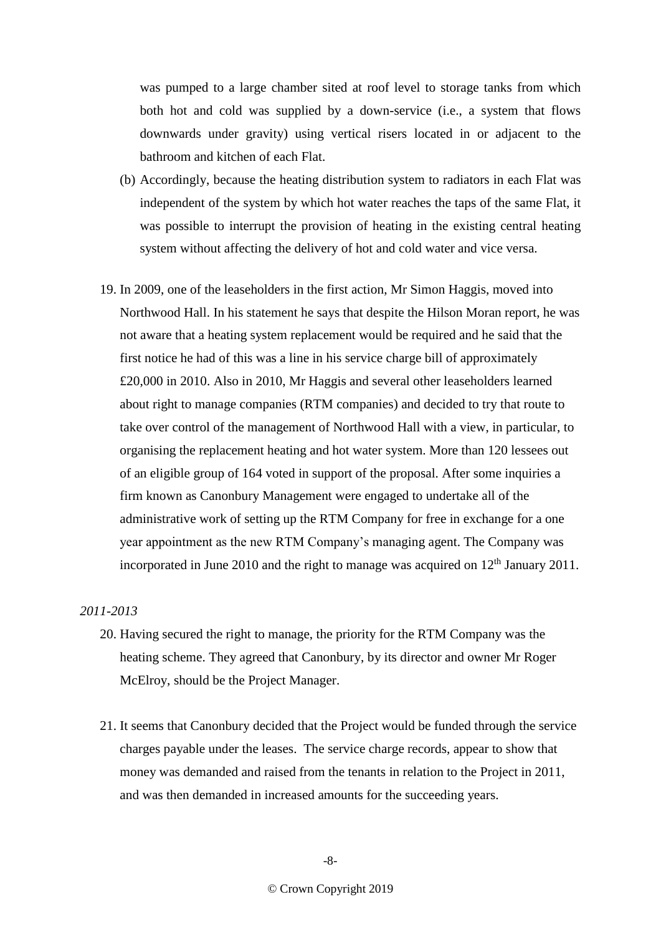was pumped to a large chamber sited at roof level to storage tanks from which both hot and cold was supplied by a down-service (i.e., a system that flows downwards under gravity) using vertical risers located in or adjacent to the bathroom and kitchen of each Flat.

- (b) Accordingly, because the heating distribution system to radiators in each Flat was independent of the system by which hot water reaches the taps of the same Flat, it was possible to interrupt the provision of heating in the existing central heating system without affecting the delivery of hot and cold water and vice versa.
- 19. In 2009, one of the leaseholders in the first action, Mr Simon Haggis, moved into Northwood Hall. In his statement he says that despite the Hilson Moran report, he was not aware that a heating system replacement would be required and he said that the first notice he had of this was a line in his service charge bill of approximately £20,000 in 2010. Also in 2010, Mr Haggis and several other leaseholders learned about right to manage companies (RTM companies) and decided to try that route to take over control of the management of Northwood Hall with a view, in particular, to organising the replacement heating and hot water system. More than 120 lessees out of an eligible group of 164 voted in support of the proposal. After some inquiries a firm known as Canonbury Management were engaged to undertake all of the administrative work of setting up the RTM Company for free in exchange for a one year appointment as the new RTM Company's managing agent. The Company was incorporated in June 2010 and the right to manage was acquired on  $12<sup>th</sup>$  January 2011.

# *2011-2013*

- 20. Having secured the right to manage, the priority for the RTM Company was the heating scheme. They agreed that Canonbury, by its director and owner Mr Roger McElroy, should be the Project Manager.
- 21. It seems that Canonbury decided that the Project would be funded through the service charges payable under the leases. The service charge records, appear to show that money was demanded and raised from the tenants in relation to the Project in 2011, and was then demanded in increased amounts for the succeeding years.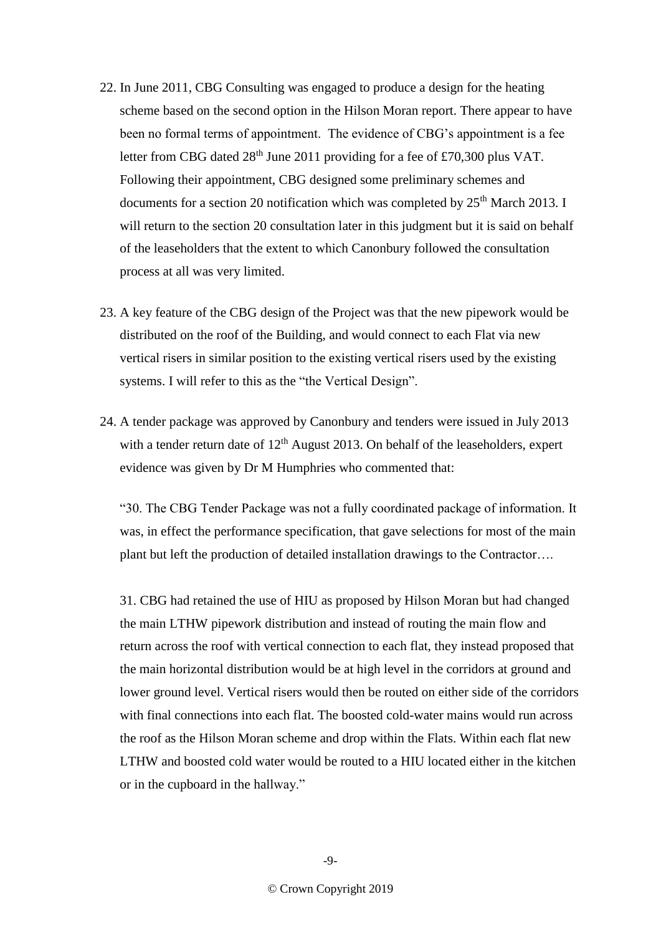- 22. In June 2011, CBG Consulting was engaged to produce a design for the heating scheme based on the second option in the Hilson Moran report. There appear to have been no formal terms of appointment. The evidence of CBG's appointment is a fee letter from CBG dated  $28<sup>th</sup>$  June 2011 providing for a fee of £70,300 plus VAT. Following their appointment, CBG designed some preliminary schemes and documents for a section 20 notification which was completed by  $25<sup>th</sup>$  March 2013. I will return to the section 20 consultation later in this judgment but it is said on behalf of the leaseholders that the extent to which Canonbury followed the consultation process at all was very limited.
- 23. A key feature of the CBG design of the Project was that the new pipework would be distributed on the roof of the Building, and would connect to each Flat via new vertical risers in similar position to the existing vertical risers used by the existing systems. I will refer to this as the "the Vertical Design".
- 24. A tender package was approved by Canonbury and tenders were issued in July 2013 with a tender return date of  $12<sup>th</sup>$  August 2013. On behalf of the leaseholders, expert evidence was given by Dr M Humphries who commented that:

"30. The CBG Tender Package was not a fully coordinated package of information. It was, in effect the performance specification, that gave selections for most of the main plant but left the production of detailed installation drawings to the Contractor….

31. CBG had retained the use of HIU as proposed by Hilson Moran but had changed the main LTHW pipework distribution and instead of routing the main flow and return across the roof with vertical connection to each flat, they instead proposed that the main horizontal distribution would be at high level in the corridors at ground and lower ground level. Vertical risers would then be routed on either side of the corridors with final connections into each flat. The boosted cold-water mains would run across the roof as the Hilson Moran scheme and drop within the Flats. Within each flat new LTHW and boosted cold water would be routed to a HIU located either in the kitchen or in the cupboard in the hallway."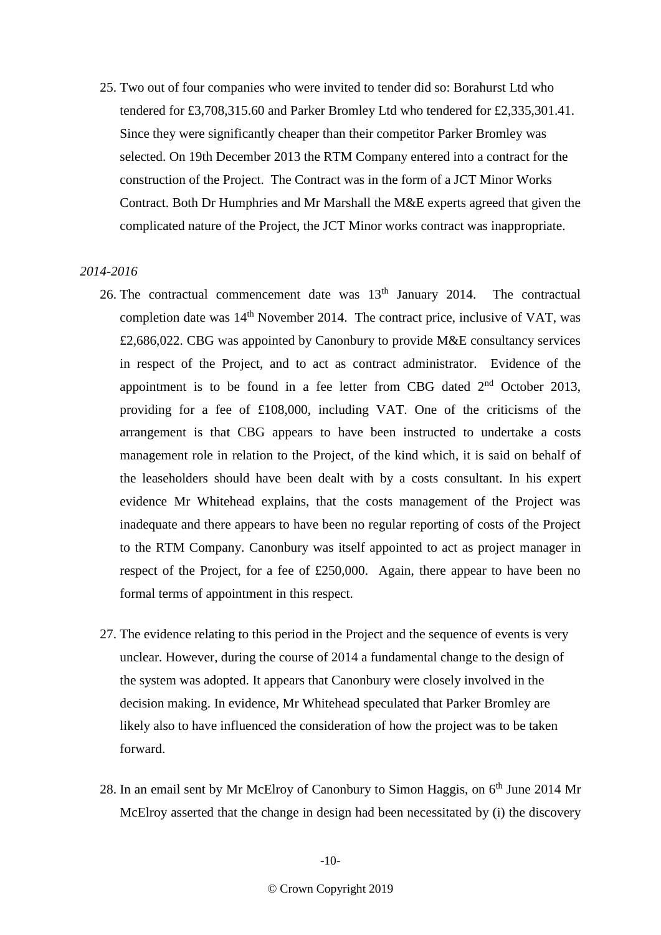25. Two out of four companies who were invited to tender did so: Borahurst Ltd who tendered for £3,708,315.60 and Parker Bromley Ltd who tendered for £2,335,301.41. Since they were significantly cheaper than their competitor Parker Bromley was selected. On 19th December 2013 the RTM Company entered into a contract for the construction of the Project. The Contract was in the form of a JCT Minor Works Contract. Both Dr Humphries and Mr Marshall the M&E experts agreed that given the complicated nature of the Project, the JCT Minor works contract was inappropriate.

#### *2014-2016*

- 26. The contractual commencement date was  $13<sup>th</sup>$  January 2014. The contractual completion date was  $14<sup>th</sup>$  November 2014. The contract price, inclusive of VAT, was £2,686,022. CBG was appointed by Canonbury to provide M&E consultancy services in respect of the Project, and to act as contract administrator. Evidence of the appointment is to be found in a fee letter from CBG dated 2<sup>nd</sup> October 2013, providing for a fee of £108,000, including VAT. One of the criticisms of the arrangement is that CBG appears to have been instructed to undertake a costs management role in relation to the Project, of the kind which, it is said on behalf of the leaseholders should have been dealt with by a costs consultant. In his expert evidence Mr Whitehead explains, that the costs management of the Project was inadequate and there appears to have been no regular reporting of costs of the Project to the RTM Company. Canonbury was itself appointed to act as project manager in respect of the Project, for a fee of £250,000. Again, there appear to have been no formal terms of appointment in this respect.
- 27. The evidence relating to this period in the Project and the sequence of events is very unclear. However, during the course of 2014 a fundamental change to the design of the system was adopted. It appears that Canonbury were closely involved in the decision making. In evidence, Mr Whitehead speculated that Parker Bromley are likely also to have influenced the consideration of how the project was to be taken forward.
- 28. In an email sent by Mr McElroy of Canonbury to Simon Haggis, on 6<sup>th</sup> June 2014 Mr McElroy asserted that the change in design had been necessitated by (i) the discovery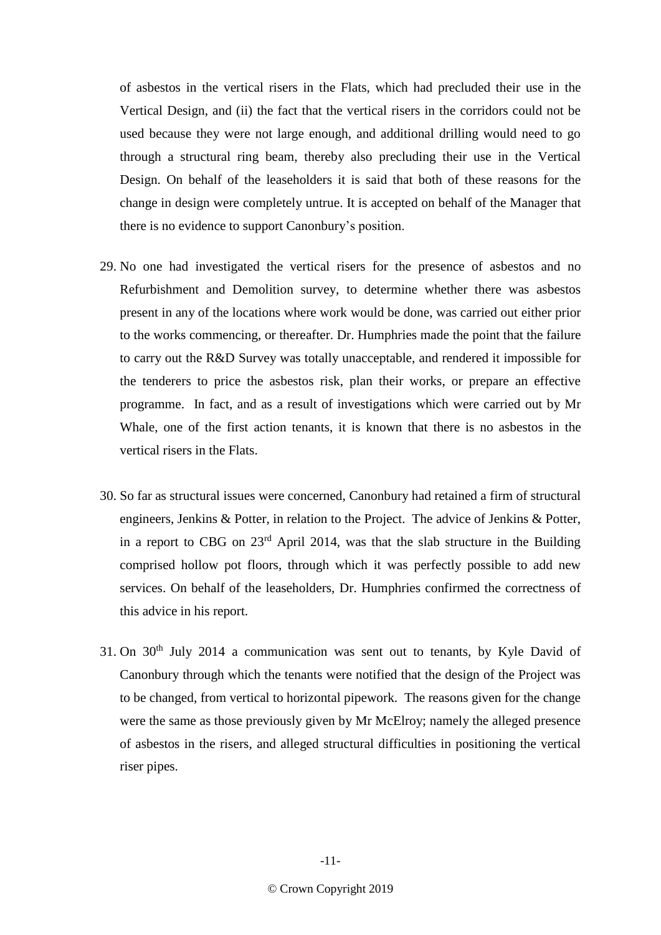of asbestos in the vertical risers in the Flats, which had precluded their use in the Vertical Design, and (ii) the fact that the vertical risers in the corridors could not be used because they were not large enough, and additional drilling would need to go through a structural ring beam, thereby also precluding their use in the Vertical Design. On behalf of the leaseholders it is said that both of these reasons for the change in design were completely untrue. It is accepted on behalf of the Manager that there is no evidence to support Canonbury's position.

- 29. No one had investigated the vertical risers for the presence of asbestos and no Refurbishment and Demolition survey, to determine whether there was asbestos present in any of the locations where work would be done, was carried out either prior to the works commencing, or thereafter. Dr. Humphries made the point that the failure to carry out the R&D Survey was totally unacceptable, and rendered it impossible for the tenderers to price the asbestos risk, plan their works, or prepare an effective programme. In fact, and as a result of investigations which were carried out by Mr Whale, one of the first action tenants, it is known that there is no asbestos in the vertical risers in the Flats.
- 30. So far as structural issues were concerned, Canonbury had retained a firm of structural engineers, Jenkins & Potter, in relation to the Project. The advice of Jenkins & Potter, in a report to CBG on  $23<sup>rd</sup>$  April 2014, was that the slab structure in the Building comprised hollow pot floors, through which it was perfectly possible to add new services. On behalf of the leaseholders, Dr. Humphries confirmed the correctness of this advice in his report.
- 31. On  $30<sup>th</sup>$  July 2014 a communication was sent out to tenants, by Kyle David of Canonbury through which the tenants were notified that the design of the Project was to be changed, from vertical to horizontal pipework. The reasons given for the change were the same as those previously given by Mr McElroy; namely the alleged presence of asbestos in the risers, and alleged structural difficulties in positioning the vertical riser pipes.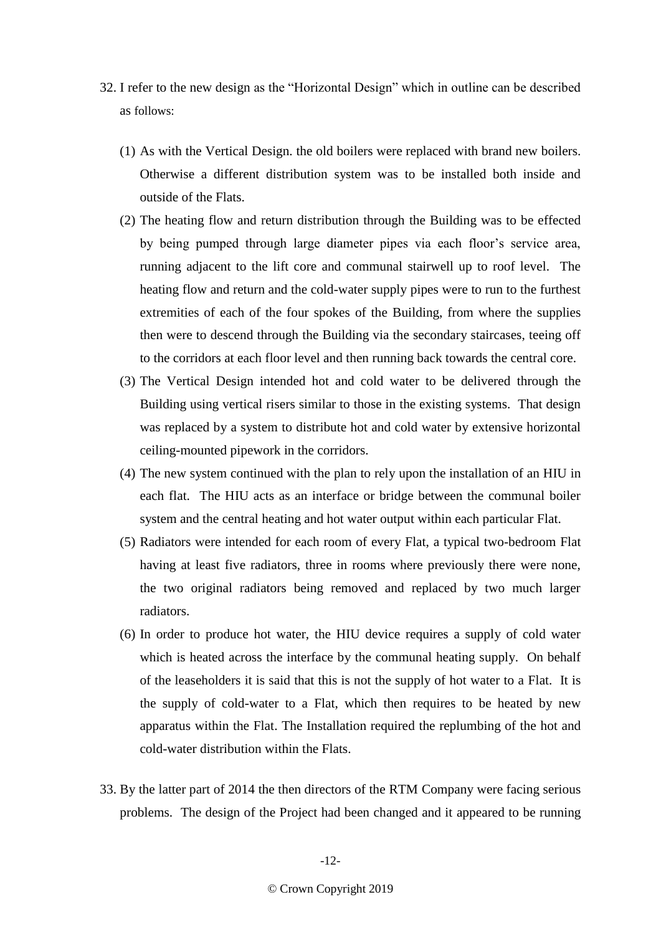- 32. I refer to the new design as the "Horizontal Design" which in outline can be described as follows:
	- (1) As with the Vertical Design. the old boilers were replaced with brand new boilers. Otherwise a different distribution system was to be installed both inside and outside of the Flats.
	- (2) The heating flow and return distribution through the Building was to be effected by being pumped through large diameter pipes via each floor's service area, running adjacent to the lift core and communal stairwell up to roof level. The heating flow and return and the cold-water supply pipes were to run to the furthest extremities of each of the four spokes of the Building, from where the supplies then were to descend through the Building via the secondary staircases, teeing off to the corridors at each floor level and then running back towards the central core.
	- (3) The Vertical Design intended hot and cold water to be delivered through the Building using vertical risers similar to those in the existing systems. That design was replaced by a system to distribute hot and cold water by extensive horizontal ceiling-mounted pipework in the corridors.
	- (4) The new system continued with the plan to rely upon the installation of an HIU in each flat. The HIU acts as an interface or bridge between the communal boiler system and the central heating and hot water output within each particular Flat.
	- (5) Radiators were intended for each room of every Flat, a typical two-bedroom Flat having at least five radiators, three in rooms where previously there were none, the two original radiators being removed and replaced by two much larger radiators.
	- (6) In order to produce hot water, the HIU device requires a supply of cold water which is heated across the interface by the communal heating supply. On behalf of the leaseholders it is said that this is not the supply of hot water to a Flat. It is the supply of cold-water to a Flat, which then requires to be heated by new apparatus within the Flat. The Installation required the replumbing of the hot and cold-water distribution within the Flats.
- 33. By the latter part of 2014 the then directors of the RTM Company were facing serious problems. The design of the Project had been changed and it appeared to be running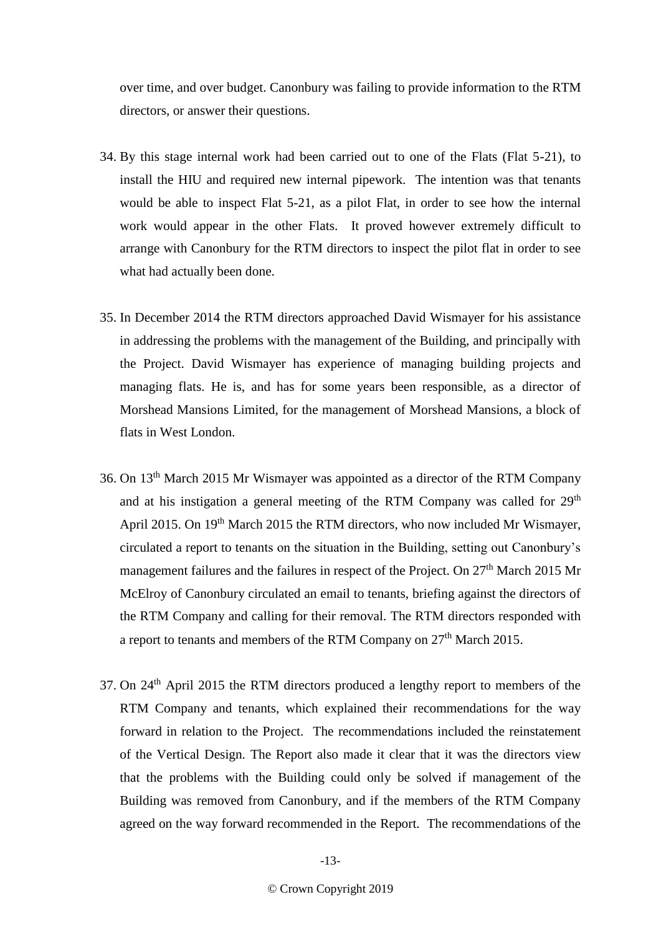over time, and over budget. Canonbury was failing to provide information to the RTM directors, or answer their questions.

- 34. By this stage internal work had been carried out to one of the Flats (Flat 5-21), to install the HIU and required new internal pipework. The intention was that tenants would be able to inspect Flat 5-21, as a pilot Flat, in order to see how the internal work would appear in the other Flats. It proved however extremely difficult to arrange with Canonbury for the RTM directors to inspect the pilot flat in order to see what had actually been done.
- 35. In December 2014 the RTM directors approached David Wismayer for his assistance in addressing the problems with the management of the Building, and principally with the Project. David Wismayer has experience of managing building projects and managing flats. He is, and has for some years been responsible, as a director of Morshead Mansions Limited, for the management of Morshead Mansions, a block of flats in West London.
- 36. On 13th March 2015 Mr Wismayer was appointed as a director of the RTM Company and at his instigation a general meeting of the RTM Company was called for  $29<sup>th</sup>$ April 2015. On 19th March 2015 the RTM directors, who now included Mr Wismayer, circulated a report to tenants on the situation in the Building, setting out Canonbury's management failures and the failures in respect of the Project. On 27<sup>th</sup> March 2015 Mr McElroy of Canonbury circulated an email to tenants, briefing against the directors of the RTM Company and calling for their removal. The RTM directors responded with a report to tenants and members of the RTM Company on 27<sup>th</sup> March 2015.
- 37. On 24th April 2015 the RTM directors produced a lengthy report to members of the RTM Company and tenants, which explained their recommendations for the way forward in relation to the Project. The recommendations included the reinstatement of the Vertical Design. The Report also made it clear that it was the directors view that the problems with the Building could only be solved if management of the Building was removed from Canonbury, and if the members of the RTM Company agreed on the way forward recommended in the Report. The recommendations of the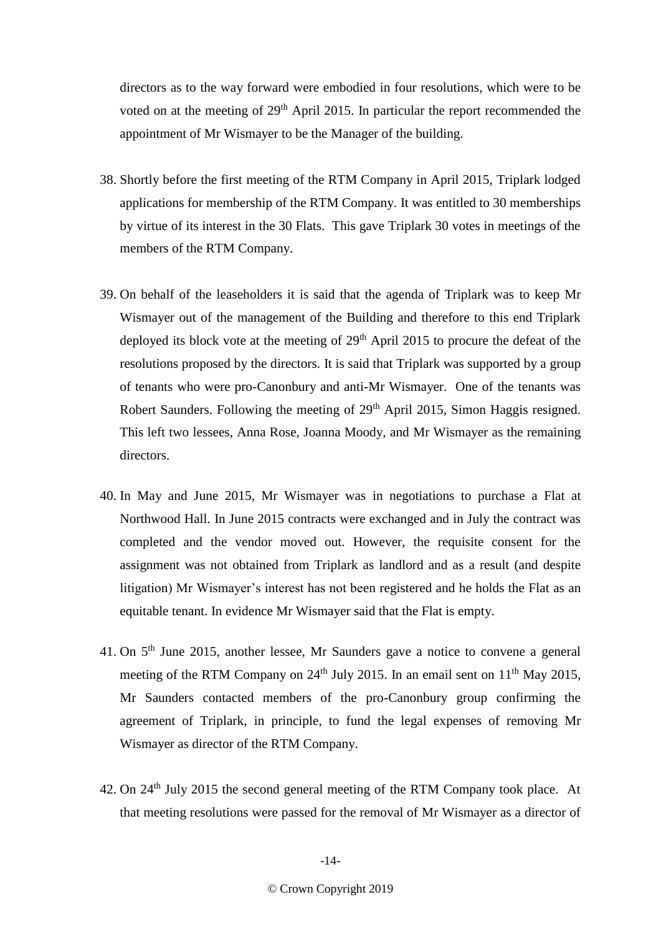directors as to the way forward were embodied in four resolutions, which were to be voted on at the meeting of 29<sup>th</sup> April 2015. In particular the report recommended the appointment of Mr Wismayer to be the Manager of the building.

- 38. Shortly before the first meeting of the RTM Company in April 2015, Triplark lodged applications for membership of the RTM Company. It was entitled to 30 memberships by virtue of its interest in the 30 Flats. This gave Triplark 30 votes in meetings of the members of the RTM Company.
- 39. On behalf of the leaseholders it is said that the agenda of Triplark was to keep Mr Wismayer out of the management of the Building and therefore to this end Triplark deployed its block vote at the meeting of  $29<sup>th</sup>$  April 2015 to procure the defeat of the resolutions proposed by the directors. It is said that Triplark was supported by a group of tenants who were pro-Canonbury and anti-Mr Wismayer. One of the tenants was Robert Saunders. Following the meeting of 29<sup>th</sup> April 2015, Simon Haggis resigned. This left two lessees, Anna Rose, Joanna Moody, and Mr Wismayer as the remaining directors.
- 40. In May and June 2015, Mr Wismayer was in negotiations to purchase a Flat at Northwood Hall. In June 2015 contracts were exchanged and in July the contract was completed and the vendor moved out. However, the requisite consent for the assignment was not obtained from Triplark as landlord and as a result (and despite litigation) Mr Wismayer's interest has not been registered and he holds the Flat as an equitable tenant. In evidence Mr Wismayer said that the Flat is empty.
- 41. On 5<sup>th</sup> June 2015, another lessee, Mr Saunders gave a notice to convene a general meeting of the RTM Company on  $24<sup>th</sup>$  July 2015. In an email sent on  $11<sup>th</sup>$  May 2015, Mr Saunders contacted members of the pro-Canonbury group confirming the agreement of Triplark, in principle, to fund the legal expenses of removing Mr Wismayer as director of the RTM Company.
- 42. On 24<sup>th</sup> July 2015 the second general meeting of the RTM Company took place. At that meeting resolutions were passed for the removal of Mr Wismayer as a director of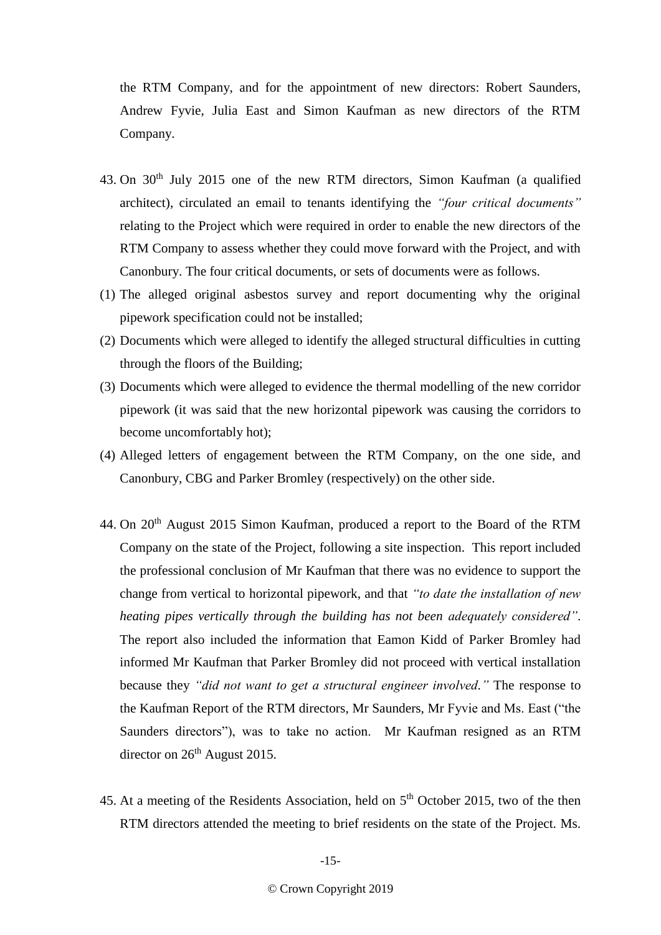the RTM Company, and for the appointment of new directors: Robert Saunders, Andrew Fyvie, Julia East and Simon Kaufman as new directors of the RTM Company.

- 43. On 30th July 2015 one of the new RTM directors, Simon Kaufman (a qualified architect), circulated an email to tenants identifying the *"four critical documents"* relating to the Project which were required in order to enable the new directors of the RTM Company to assess whether they could move forward with the Project, and with Canonbury. The four critical documents, or sets of documents were as follows.
- (1) The alleged original asbestos survey and report documenting why the original pipework specification could not be installed;
- (2) Documents which were alleged to identify the alleged structural difficulties in cutting through the floors of the Building;
- (3) Documents which were alleged to evidence the thermal modelling of the new corridor pipework (it was said that the new horizontal pipework was causing the corridors to become uncomfortably hot);
- (4) Alleged letters of engagement between the RTM Company, on the one side, and Canonbury, CBG and Parker Bromley (respectively) on the other side.
- 44. On 20<sup>th</sup> August 2015 Simon Kaufman, produced a report to the Board of the RTM Company on the state of the Project, following a site inspection. This report included the professional conclusion of Mr Kaufman that there was no evidence to support the change from vertical to horizontal pipework, and that *"to date the installation of new heating pipes vertically through the building has not been adequately considered"*. The report also included the information that Eamon Kidd of Parker Bromley had informed Mr Kaufman that Parker Bromley did not proceed with vertical installation because they *"did not want to get a structural engineer involved."* The response to the Kaufman Report of the RTM directors, Mr Saunders, Mr Fyvie and Ms. East ("the Saunders directors"), was to take no action. Mr Kaufman resigned as an RTM director on  $26<sup>th</sup>$  August 2015.
- 45. At a meeting of the Residents Association, held on 5<sup>th</sup> October 2015, two of the then RTM directors attended the meeting to brief residents on the state of the Project. Ms.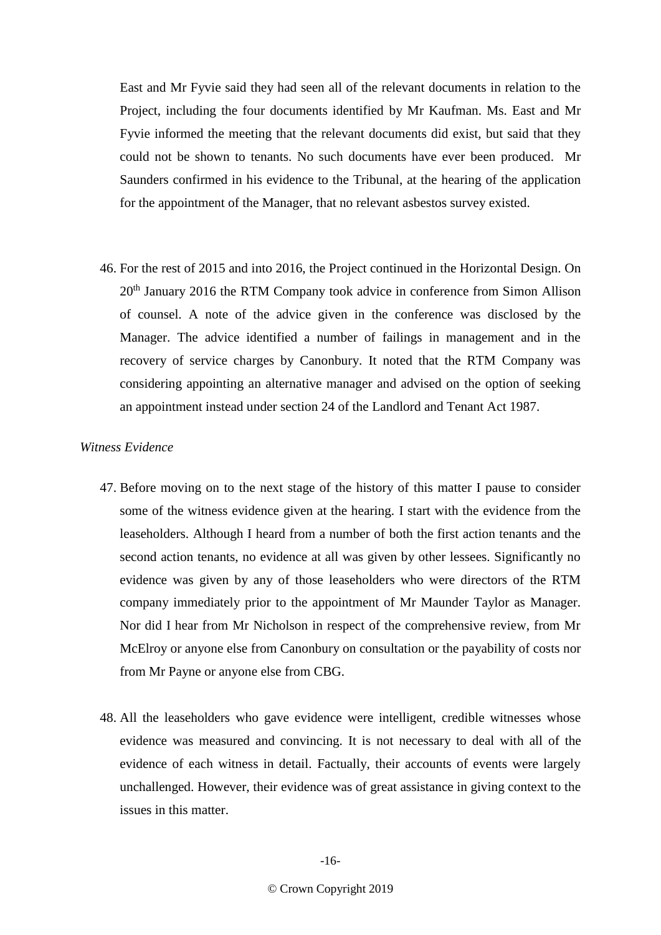East and Mr Fyvie said they had seen all of the relevant documents in relation to the Project, including the four documents identified by Mr Kaufman. Ms. East and Mr Fyvie informed the meeting that the relevant documents did exist, but said that they could not be shown to tenants. No such documents have ever been produced. Mr Saunders confirmed in his evidence to the Tribunal, at the hearing of the application for the appointment of the Manager, that no relevant asbestos survey existed.

46. For the rest of 2015 and into 2016, the Project continued in the Horizontal Design. On 20th January 2016 the RTM Company took advice in conference from Simon Allison of counsel. A note of the advice given in the conference was disclosed by the Manager. The advice identified a number of failings in management and in the recovery of service charges by Canonbury. It noted that the RTM Company was considering appointing an alternative manager and advised on the option of seeking an appointment instead under section 24 of the Landlord and Tenant Act 1987.

# *Witness Evidence*

- 47. Before moving on to the next stage of the history of this matter I pause to consider some of the witness evidence given at the hearing. I start with the evidence from the leaseholders. Although I heard from a number of both the first action tenants and the second action tenants, no evidence at all was given by other lessees. Significantly no evidence was given by any of those leaseholders who were directors of the RTM company immediately prior to the appointment of Mr Maunder Taylor as Manager. Nor did I hear from Mr Nicholson in respect of the comprehensive review, from Mr McElroy or anyone else from Canonbury on consultation or the payability of costs nor from Mr Payne or anyone else from CBG.
- 48. All the leaseholders who gave evidence were intelligent, credible witnesses whose evidence was measured and convincing. It is not necessary to deal with all of the evidence of each witness in detail. Factually, their accounts of events were largely unchallenged. However, their evidence was of great assistance in giving context to the issues in this matter.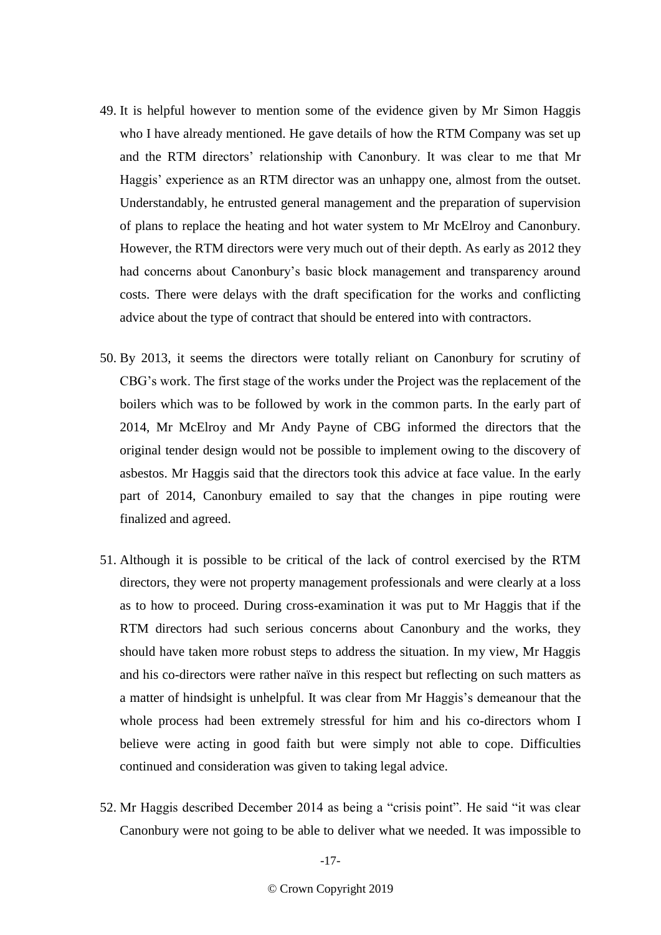- 49. It is helpful however to mention some of the evidence given by Mr Simon Haggis who I have already mentioned. He gave details of how the RTM Company was set up and the RTM directors' relationship with Canonbury. It was clear to me that Mr Haggis' experience as an RTM director was an unhappy one, almost from the outset. Understandably, he entrusted general management and the preparation of supervision of plans to replace the heating and hot water system to Mr McElroy and Canonbury. However, the RTM directors were very much out of their depth. As early as 2012 they had concerns about Canonbury's basic block management and transparency around costs. There were delays with the draft specification for the works and conflicting advice about the type of contract that should be entered into with contractors.
- 50. By 2013, it seems the directors were totally reliant on Canonbury for scrutiny of CBG's work. The first stage of the works under the Project was the replacement of the boilers which was to be followed by work in the common parts. In the early part of 2014, Mr McElroy and Mr Andy Payne of CBG informed the directors that the original tender design would not be possible to implement owing to the discovery of asbestos. Mr Haggis said that the directors took this advice at face value. In the early part of 2014, Canonbury emailed to say that the changes in pipe routing were finalized and agreed.
- 51. Although it is possible to be critical of the lack of control exercised by the RTM directors, they were not property management professionals and were clearly at a loss as to how to proceed. During cross-examination it was put to Mr Haggis that if the RTM directors had such serious concerns about Canonbury and the works, they should have taken more robust steps to address the situation. In my view, Mr Haggis and his co-directors were rather naïve in this respect but reflecting on such matters as a matter of hindsight is unhelpful. It was clear from Mr Haggis's demeanour that the whole process had been extremely stressful for him and his co-directors whom I believe were acting in good faith but were simply not able to cope. Difficulties continued and consideration was given to taking legal advice.
- 52. Mr Haggis described December 2014 as being a "crisis point". He said "it was clear Canonbury were not going to be able to deliver what we needed. It was impossible to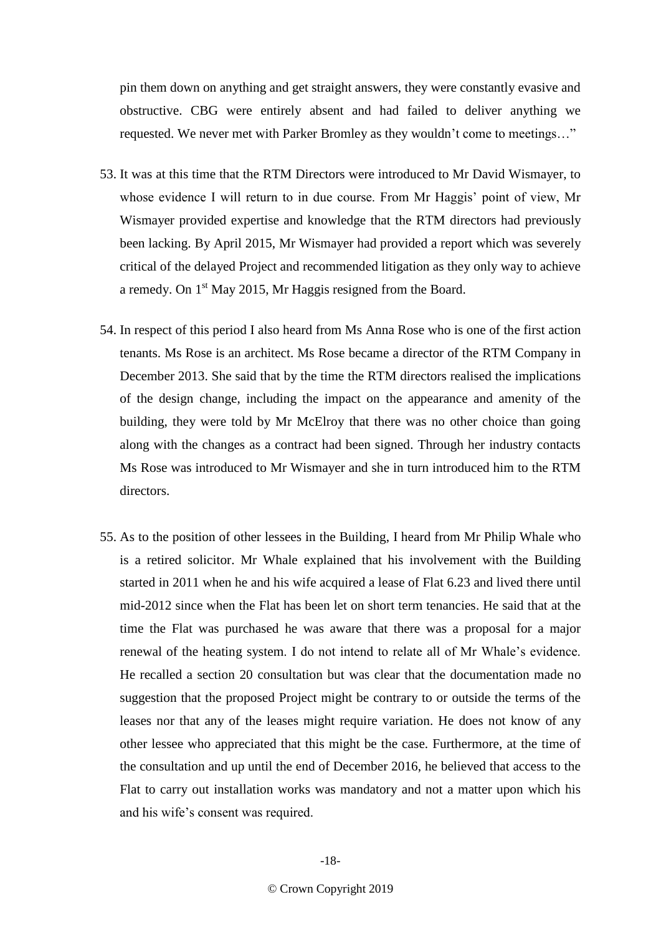pin them down on anything and get straight answers, they were constantly evasive and obstructive. CBG were entirely absent and had failed to deliver anything we requested. We never met with Parker Bromley as they wouldn't come to meetings…"

- 53. It was at this time that the RTM Directors were introduced to Mr David Wismayer, to whose evidence I will return to in due course. From Mr Haggis' point of view, Mr Wismayer provided expertise and knowledge that the RTM directors had previously been lacking. By April 2015, Mr Wismayer had provided a report which was severely critical of the delayed Project and recommended litigation as they only way to achieve a remedy. On 1st May 2015, Mr Haggis resigned from the Board.
- 54. In respect of this period I also heard from Ms Anna Rose who is one of the first action tenants. Ms Rose is an architect. Ms Rose became a director of the RTM Company in December 2013. She said that by the time the RTM directors realised the implications of the design change, including the impact on the appearance and amenity of the building, they were told by Mr McElroy that there was no other choice than going along with the changes as a contract had been signed. Through her industry contacts Ms Rose was introduced to Mr Wismayer and she in turn introduced him to the RTM directors.
- 55. As to the position of other lessees in the Building, I heard from Mr Philip Whale who is a retired solicitor. Mr Whale explained that his involvement with the Building started in 2011 when he and his wife acquired a lease of Flat 6.23 and lived there until mid-2012 since when the Flat has been let on short term tenancies. He said that at the time the Flat was purchased he was aware that there was a proposal for a major renewal of the heating system. I do not intend to relate all of Mr Whale's evidence. He recalled a section 20 consultation but was clear that the documentation made no suggestion that the proposed Project might be contrary to or outside the terms of the leases nor that any of the leases might require variation. He does not know of any other lessee who appreciated that this might be the case. Furthermore, at the time of the consultation and up until the end of December 2016, he believed that access to the Flat to carry out installation works was mandatory and not a matter upon which his and his wife's consent was required.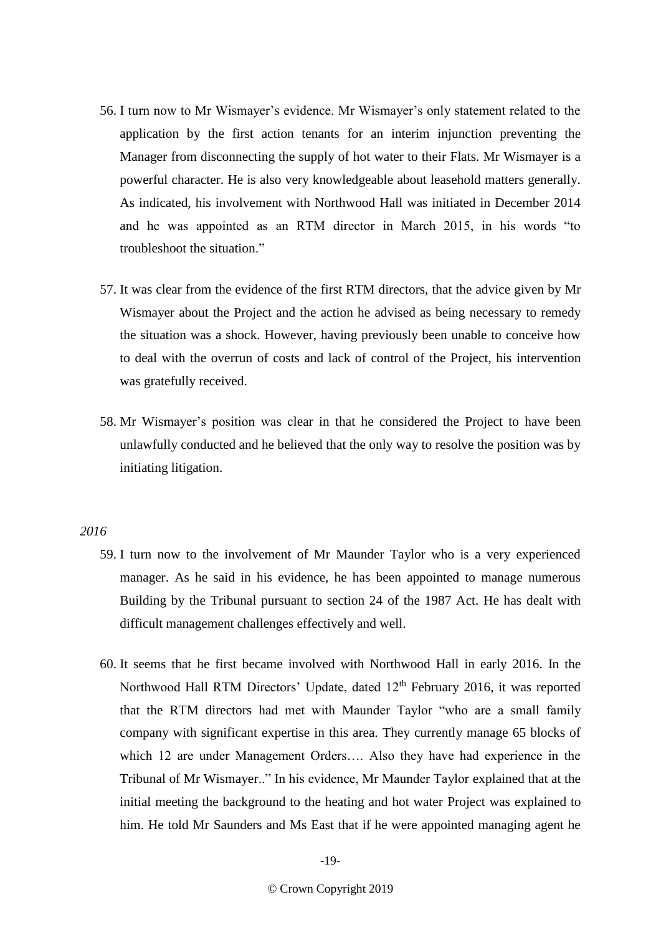- 56. I turn now to Mr Wismayer's evidence. Mr Wismayer's only statement related to the application by the first action tenants for an interim injunction preventing the Manager from disconnecting the supply of hot water to their Flats. Mr Wismayer is a powerful character. He is also very knowledgeable about leasehold matters generally. As indicated, his involvement with Northwood Hall was initiated in December 2014 and he was appointed as an RTM director in March 2015, in his words "to troubleshoot the situation."
- 57. It was clear from the evidence of the first RTM directors, that the advice given by Mr Wismayer about the Project and the action he advised as being necessary to remedy the situation was a shock. However, having previously been unable to conceive how to deal with the overrun of costs and lack of control of the Project, his intervention was gratefully received.
- 58. Mr Wismayer's position was clear in that he considered the Project to have been unlawfully conducted and he believed that the only way to resolve the position was by initiating litigation.

# *2016*

- 59. I turn now to the involvement of Mr Maunder Taylor who is a very experienced manager. As he said in his evidence, he has been appointed to manage numerous Building by the Tribunal pursuant to section 24 of the 1987 Act. He has dealt with difficult management challenges effectively and well.
- 60. It seems that he first became involved with Northwood Hall in early 2016. In the Northwood Hall RTM Directors' Update, dated 12<sup>th</sup> February 2016, it was reported that the RTM directors had met with Maunder Taylor "who are a small family company with significant expertise in this area. They currently manage 65 blocks of which 12 are under Management Orders…. Also they have had experience in the Tribunal of Mr Wismayer.." In his evidence, Mr Maunder Taylor explained that at the initial meeting the background to the heating and hot water Project was explained to him. He told Mr Saunders and Ms East that if he were appointed managing agent he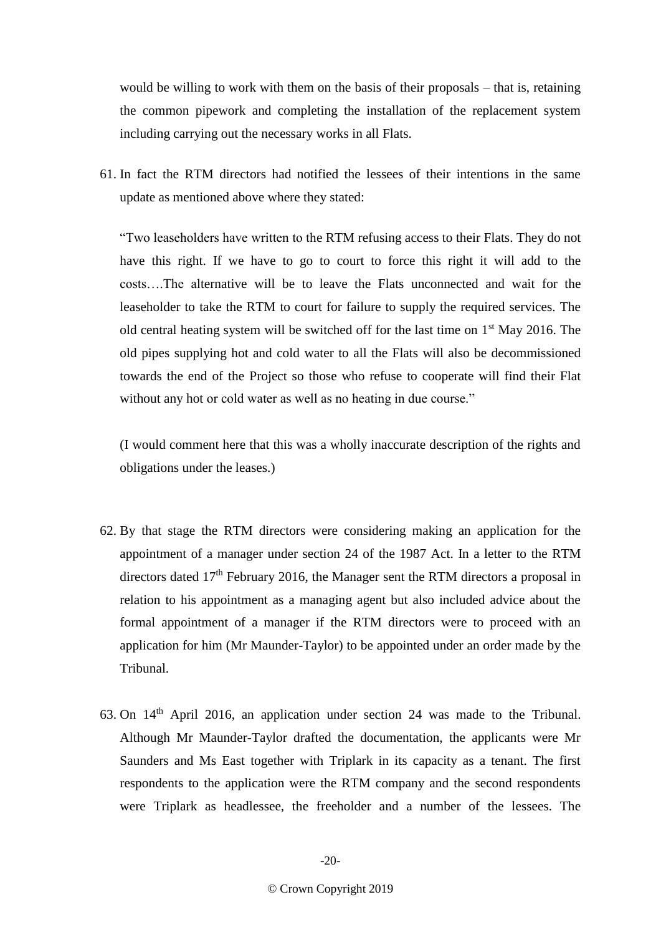would be willing to work with them on the basis of their proposals – that is, retaining the common pipework and completing the installation of the replacement system including carrying out the necessary works in all Flats.

61. In fact the RTM directors had notified the lessees of their intentions in the same update as mentioned above where they stated:

"Two leaseholders have written to the RTM refusing access to their Flats. They do not have this right. If we have to go to court to force this right it will add to the costs….The alternative will be to leave the Flats unconnected and wait for the leaseholder to take the RTM to court for failure to supply the required services. The old central heating system will be switched off for the last time on  $1<sup>st</sup>$  May 2016. The old pipes supplying hot and cold water to all the Flats will also be decommissioned towards the end of the Project so those who refuse to cooperate will find their Flat without any hot or cold water as well as no heating in due course."

(I would comment here that this was a wholly inaccurate description of the rights and obligations under the leases.)

- 62. By that stage the RTM directors were considering making an application for the appointment of a manager under section 24 of the 1987 Act. In a letter to the RTM directors dated  $17<sup>th</sup>$  February 2016, the Manager sent the RTM directors a proposal in relation to his appointment as a managing agent but also included advice about the formal appointment of a manager if the RTM directors were to proceed with an application for him (Mr Maunder-Taylor) to be appointed under an order made by the Tribunal.
- 63. On 14th April 2016, an application under section 24 was made to the Tribunal. Although Mr Maunder-Taylor drafted the documentation, the applicants were Mr Saunders and Ms East together with Triplark in its capacity as a tenant. The first respondents to the application were the RTM company and the second respondents were Triplark as headlessee, the freeholder and a number of the lessees. The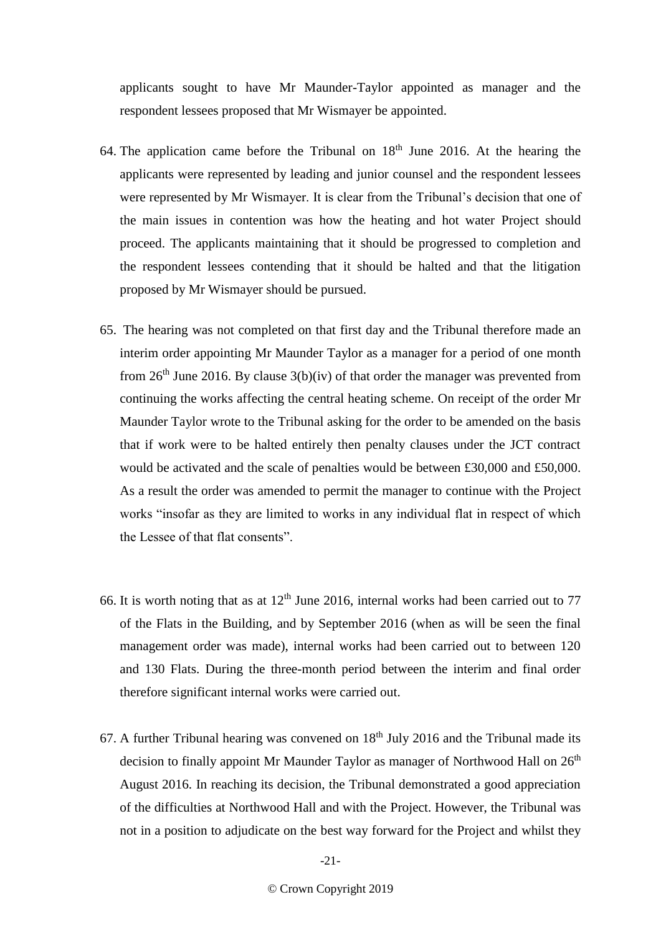applicants sought to have Mr Maunder-Taylor appointed as manager and the respondent lessees proposed that Mr Wismayer be appointed.

- 64. The application came before the Tribunal on  $18<sup>th</sup>$  June 2016. At the hearing the applicants were represented by leading and junior counsel and the respondent lessees were represented by Mr Wismayer. It is clear from the Tribunal's decision that one of the main issues in contention was how the heating and hot water Project should proceed. The applicants maintaining that it should be progressed to completion and the respondent lessees contending that it should be halted and that the litigation proposed by Mr Wismayer should be pursued.
- 65. The hearing was not completed on that first day and the Tribunal therefore made an interim order appointing Mr Maunder Taylor as a manager for a period of one month from  $26<sup>th</sup>$  June 2016. By clause  $3(b)(iv)$  of that order the manager was prevented from continuing the works affecting the central heating scheme. On receipt of the order Mr Maunder Taylor wrote to the Tribunal asking for the order to be amended on the basis that if work were to be halted entirely then penalty clauses under the JCT contract would be activated and the scale of penalties would be between £30,000 and £50,000. As a result the order was amended to permit the manager to continue with the Project works "insofar as they are limited to works in any individual flat in respect of which the Lessee of that flat consents".
- 66. It is worth noting that as at  $12<sup>th</sup>$  June 2016, internal works had been carried out to 77 of the Flats in the Building, and by September 2016 (when as will be seen the final management order was made), internal works had been carried out to between 120 and 130 Flats. During the three-month period between the interim and final order therefore significant internal works were carried out.
- 67. A further Tribunal hearing was convened on  $18<sup>th</sup>$  July 2016 and the Tribunal made its decision to finally appoint Mr Maunder Taylor as manager of Northwood Hall on 26<sup>th</sup> August 2016. In reaching its decision, the Tribunal demonstrated a good appreciation of the difficulties at Northwood Hall and with the Project. However, the Tribunal was not in a position to adjudicate on the best way forward for the Project and whilst they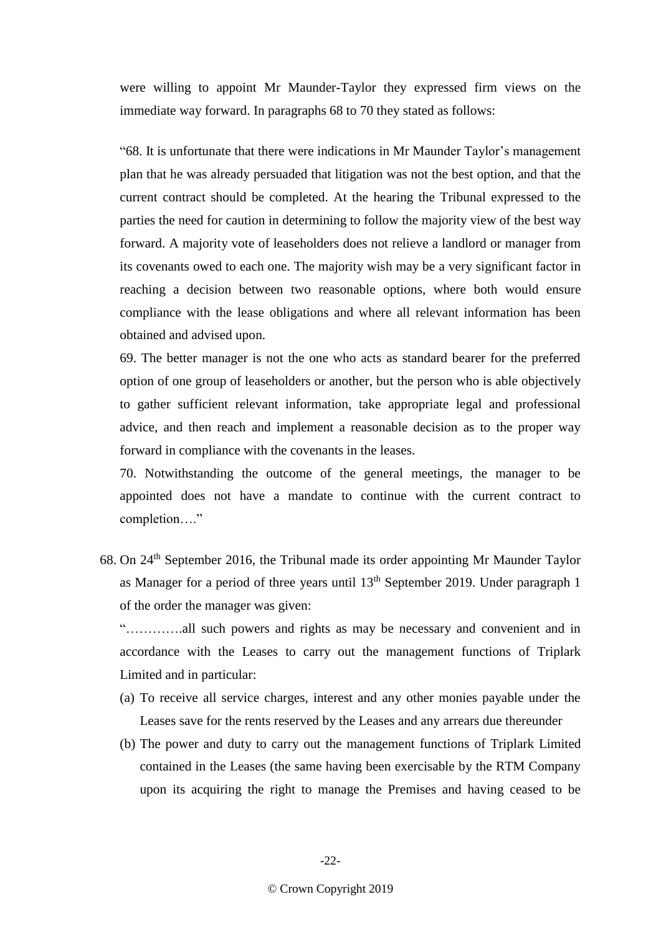were willing to appoint Mr Maunder-Taylor they expressed firm views on the immediate way forward. In paragraphs 68 to 70 they stated as follows:

"68. It is unfortunate that there were indications in Mr Maunder Taylor's management plan that he was already persuaded that litigation was not the best option, and that the current contract should be completed. At the hearing the Tribunal expressed to the parties the need for caution in determining to follow the majority view of the best way forward. A majority vote of leaseholders does not relieve a landlord or manager from its covenants owed to each one. The majority wish may be a very significant factor in reaching a decision between two reasonable options, where both would ensure compliance with the lease obligations and where all relevant information has been obtained and advised upon.

69. The better manager is not the one who acts as standard bearer for the preferred option of one group of leaseholders or another, but the person who is able objectively to gather sufficient relevant information, take appropriate legal and professional advice, and then reach and implement a reasonable decision as to the proper way forward in compliance with the covenants in the leases.

70. Notwithstanding the outcome of the general meetings, the manager to be appointed does not have a mandate to continue with the current contract to completion…."

68. On 24th September 2016, the Tribunal made its order appointing Mr Maunder Taylor as Manager for a period of three years until 13th September 2019. Under paragraph 1 of the order the manager was given:

"………….all such powers and rights as may be necessary and convenient and in accordance with the Leases to carry out the management functions of Triplark Limited and in particular:

- (a) To receive all service charges, interest and any other monies payable under the Leases save for the rents reserved by the Leases and any arrears due thereunder
- (b) The power and duty to carry out the management functions of Triplark Limited contained in the Leases (the same having been exercisable by the RTM Company upon its acquiring the right to manage the Premises and having ceased to be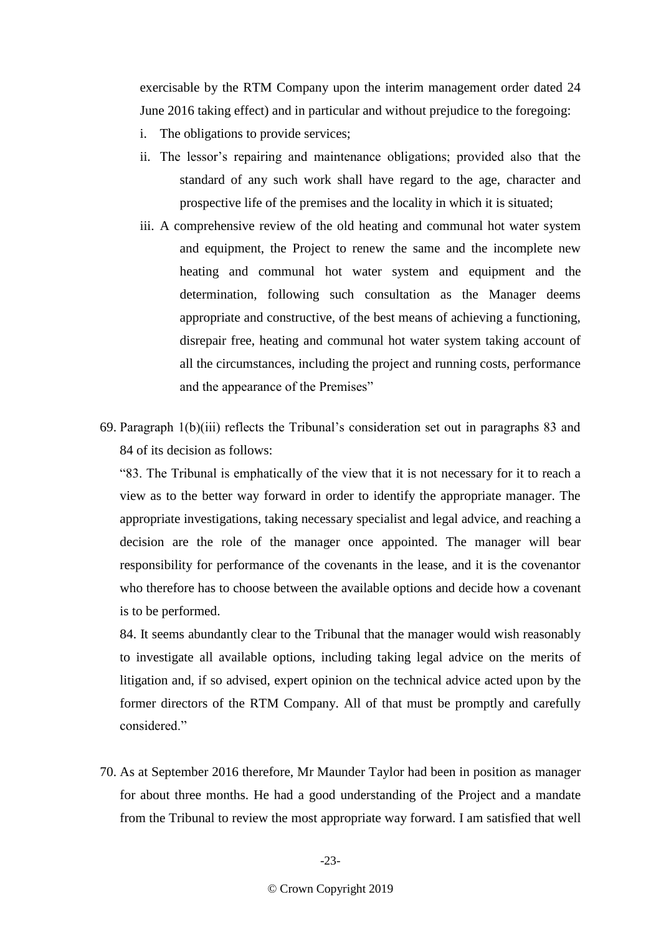exercisable by the RTM Company upon the interim management order dated 24 June 2016 taking effect) and in particular and without prejudice to the foregoing:

- i. The obligations to provide services;
- ii. The lessor's repairing and maintenance obligations; provided also that the standard of any such work shall have regard to the age, character and prospective life of the premises and the locality in which it is situated;
- iii. A comprehensive review of the old heating and communal hot water system and equipment, the Project to renew the same and the incomplete new heating and communal hot water system and equipment and the determination, following such consultation as the Manager deems appropriate and constructive, of the best means of achieving a functioning, disrepair free, heating and communal hot water system taking account of all the circumstances, including the project and running costs, performance and the appearance of the Premises"
- 69. Paragraph 1(b)(iii) reflects the Tribunal's consideration set out in paragraphs 83 and 84 of its decision as follows:

"83. The Tribunal is emphatically of the view that it is not necessary for it to reach a view as to the better way forward in order to identify the appropriate manager. The appropriate investigations, taking necessary specialist and legal advice, and reaching a decision are the role of the manager once appointed. The manager will bear responsibility for performance of the covenants in the lease, and it is the covenantor who therefore has to choose between the available options and decide how a covenant is to be performed.

84. It seems abundantly clear to the Tribunal that the manager would wish reasonably to investigate all available options, including taking legal advice on the merits of litigation and, if so advised, expert opinion on the technical advice acted upon by the former directors of the RTM Company. All of that must be promptly and carefully considered."

70. As at September 2016 therefore, Mr Maunder Taylor had been in position as manager for about three months. He had a good understanding of the Project and a mandate from the Tribunal to review the most appropriate way forward. I am satisfied that well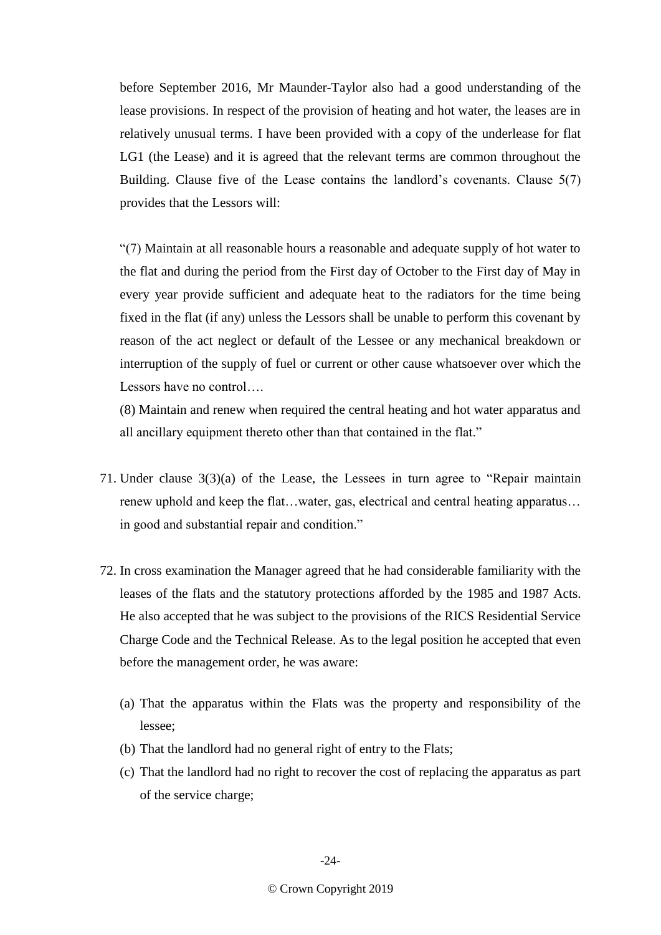before September 2016, Mr Maunder-Taylor also had a good understanding of the lease provisions. In respect of the provision of heating and hot water, the leases are in relatively unusual terms. I have been provided with a copy of the underlease for flat LG1 (the Lease) and it is agreed that the relevant terms are common throughout the Building. Clause five of the Lease contains the landlord's covenants. Clause 5(7) provides that the Lessors will:

"(7) Maintain at all reasonable hours a reasonable and adequate supply of hot water to the flat and during the period from the First day of October to the First day of May in every year provide sufficient and adequate heat to the radiators for the time being fixed in the flat (if any) unless the Lessors shall be unable to perform this covenant by reason of the act neglect or default of the Lessee or any mechanical breakdown or interruption of the supply of fuel or current or other cause whatsoever over which the Lessors have no control….

(8) Maintain and renew when required the central heating and hot water apparatus and all ancillary equipment thereto other than that contained in the flat."

- 71. Under clause 3(3)(a) of the Lease, the Lessees in turn agree to "Repair maintain renew uphold and keep the flat…water, gas, electrical and central heating apparatus… in good and substantial repair and condition."
- 72. In cross examination the Manager agreed that he had considerable familiarity with the leases of the flats and the statutory protections afforded by the 1985 and 1987 Acts. He also accepted that he was subject to the provisions of the RICS Residential Service Charge Code and the Technical Release. As to the legal position he accepted that even before the management order, he was aware:
	- (a) That the apparatus within the Flats was the property and responsibility of the lessee;
	- (b) That the landlord had no general right of entry to the Flats;
	- (c) That the landlord had no right to recover the cost of replacing the apparatus as part of the service charge;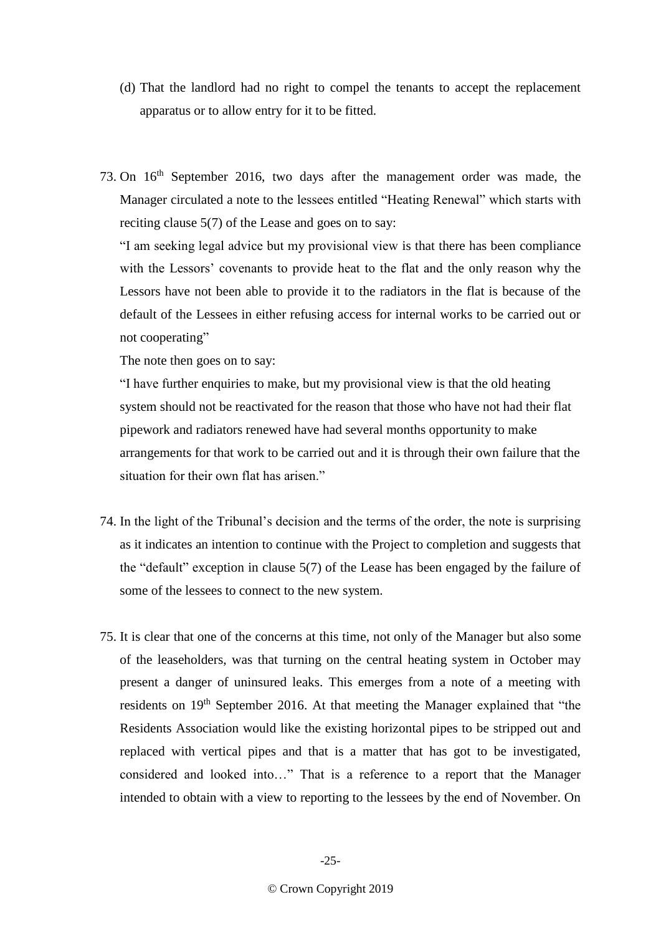- (d) That the landlord had no right to compel the tenants to accept the replacement apparatus or to allow entry for it to be fitted.
- 73. On 16th September 2016, two days after the management order was made, the Manager circulated a note to the lessees entitled "Heating Renewal" which starts with reciting clause 5(7) of the Lease and goes on to say:

"I am seeking legal advice but my provisional view is that there has been compliance with the Lessors' covenants to provide heat to the flat and the only reason why the Lessors have not been able to provide it to the radiators in the flat is because of the default of the Lessees in either refusing access for internal works to be carried out or not cooperating"

The note then goes on to say:

"I have further enquiries to make, but my provisional view is that the old heating system should not be reactivated for the reason that those who have not had their flat pipework and radiators renewed have had several months opportunity to make arrangements for that work to be carried out and it is through their own failure that the situation for their own flat has arisen."

- 74. In the light of the Tribunal's decision and the terms of the order, the note is surprising as it indicates an intention to continue with the Project to completion and suggests that the "default" exception in clause 5(7) of the Lease has been engaged by the failure of some of the lessees to connect to the new system.
- 75. It is clear that one of the concerns at this time, not only of the Manager but also some of the leaseholders, was that turning on the central heating system in October may present a danger of uninsured leaks. This emerges from a note of a meeting with residents on 19<sup>th</sup> September 2016. At that meeting the Manager explained that "the Residents Association would like the existing horizontal pipes to be stripped out and replaced with vertical pipes and that is a matter that has got to be investigated, considered and looked into…" That is a reference to a report that the Manager intended to obtain with a view to reporting to the lessees by the end of November. On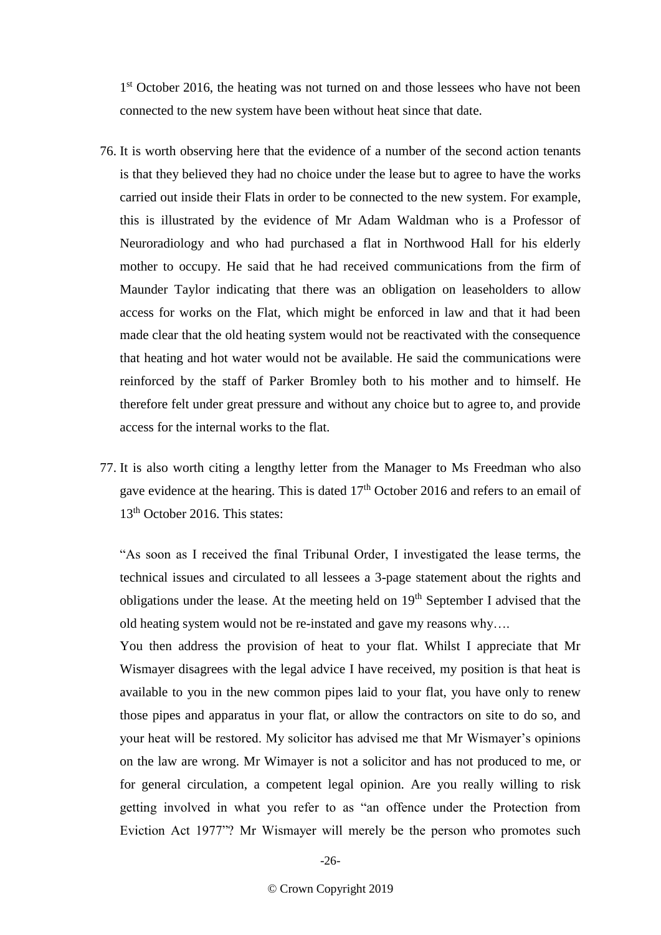1<sup>st</sup> October 2016, the heating was not turned on and those lessees who have not been connected to the new system have been without heat since that date.

- 76. It is worth observing here that the evidence of a number of the second action tenants is that they believed they had no choice under the lease but to agree to have the works carried out inside their Flats in order to be connected to the new system. For example, this is illustrated by the evidence of Mr Adam Waldman who is a Professor of Neuroradiology and who had purchased a flat in Northwood Hall for his elderly mother to occupy. He said that he had received communications from the firm of Maunder Taylor indicating that there was an obligation on leaseholders to allow access for works on the Flat, which might be enforced in law and that it had been made clear that the old heating system would not be reactivated with the consequence that heating and hot water would not be available. He said the communications were reinforced by the staff of Parker Bromley both to his mother and to himself. He therefore felt under great pressure and without any choice but to agree to, and provide access for the internal works to the flat.
- 77. It is also worth citing a lengthy letter from the Manager to Ms Freedman who also gave evidence at the hearing. This is dated 17<sup>th</sup> October 2016 and refers to an email of 13<sup>th</sup> October 2016. This states:

"As soon as I received the final Tribunal Order, I investigated the lease terms, the technical issues and circulated to all lessees a 3-page statement about the rights and obligations under the lease. At the meeting held on  $19<sup>th</sup>$  September I advised that the old heating system would not be re-instated and gave my reasons why….

You then address the provision of heat to your flat. Whilst I appreciate that Mr Wismayer disagrees with the legal advice I have received, my position is that heat is available to you in the new common pipes laid to your flat, you have only to renew those pipes and apparatus in your flat, or allow the contractors on site to do so, and your heat will be restored. My solicitor has advised me that Mr Wismayer's opinions on the law are wrong. Mr Wimayer is not a solicitor and has not produced to me, or for general circulation, a competent legal opinion. Are you really willing to risk getting involved in what you refer to as "an offence under the Protection from Eviction Act 1977"? Mr Wismayer will merely be the person who promotes such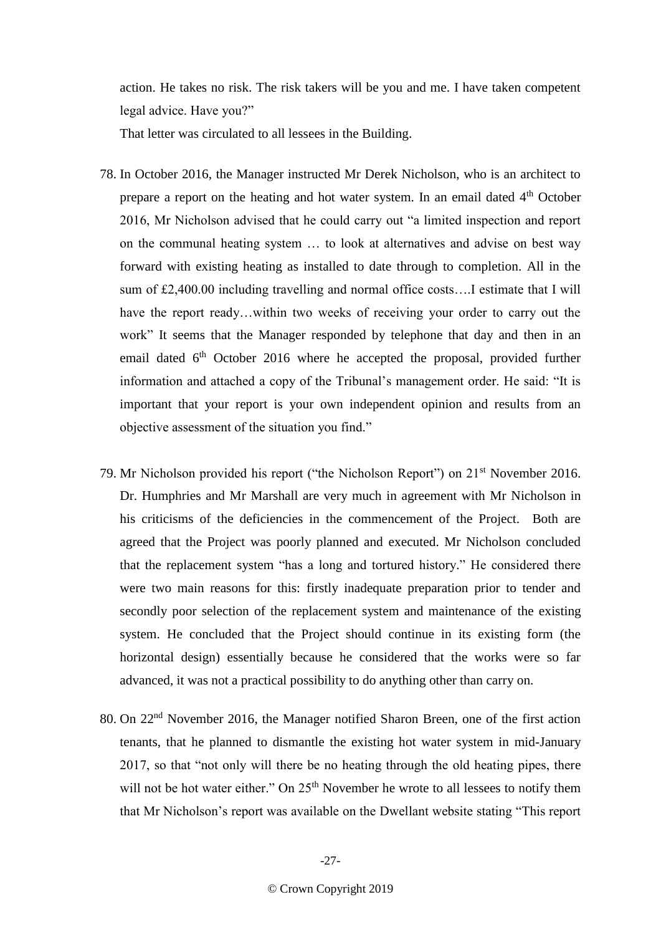action. He takes no risk. The risk takers will be you and me. I have taken competent legal advice. Have you?"

That letter was circulated to all lessees in the Building.

- 78. In October 2016, the Manager instructed Mr Derek Nicholson, who is an architect to prepare a report on the heating and hot water system. In an email dated 4<sup>th</sup> October 2016, Mr Nicholson advised that he could carry out "a limited inspection and report on the communal heating system … to look at alternatives and advise on best way forward with existing heating as installed to date through to completion. All in the sum of £2,400.00 including travelling and normal office costs….I estimate that I will have the report ready...within two weeks of receiving your order to carry out the work" It seems that the Manager responded by telephone that day and then in an email dated  $6<sup>th</sup>$  October 2016 where he accepted the proposal, provided further information and attached a copy of the Tribunal's management order. He said: "It is important that your report is your own independent opinion and results from an objective assessment of the situation you find."
- 79. Mr Nicholson provided his report ("the Nicholson Report") on 21<sup>st</sup> November 2016. Dr. Humphries and Mr Marshall are very much in agreement with Mr Nicholson in his criticisms of the deficiencies in the commencement of the Project. Both are agreed that the Project was poorly planned and executed. Mr Nicholson concluded that the replacement system "has a long and tortured history." He considered there were two main reasons for this: firstly inadequate preparation prior to tender and secondly poor selection of the replacement system and maintenance of the existing system. He concluded that the Project should continue in its existing form (the horizontal design) essentially because he considered that the works were so far advanced, it was not a practical possibility to do anything other than carry on.
- 80. On 22<sup>nd</sup> November 2016, the Manager notified Sharon Breen, one of the first action tenants, that he planned to dismantle the existing hot water system in mid-January 2017, so that "not only will there be no heating through the old heating pipes, there will not be hot water either." On  $25<sup>th</sup>$  November he wrote to all lessees to notify them that Mr Nicholson's report was available on the Dwellant website stating "This report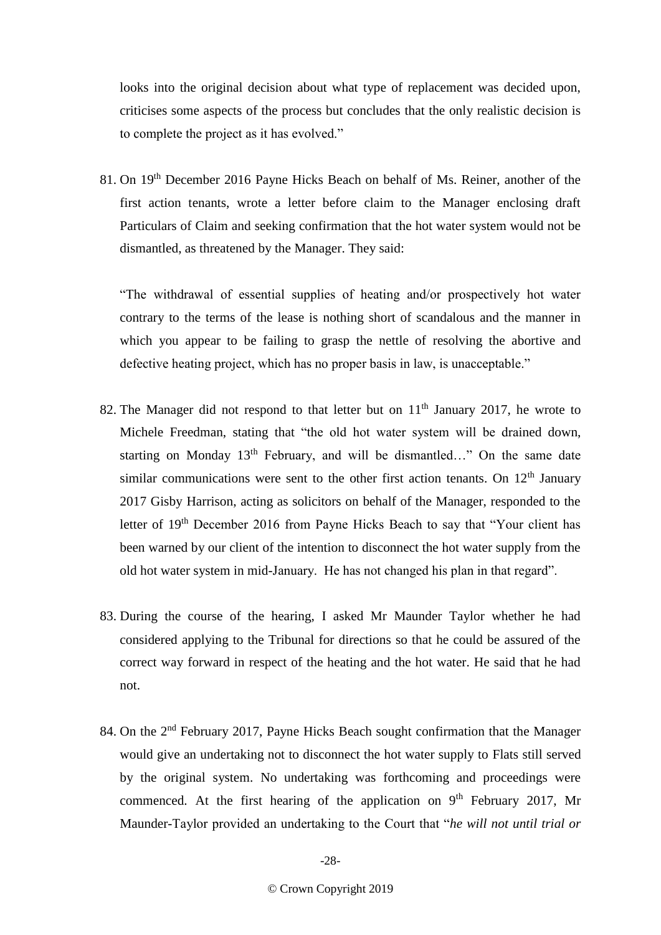looks into the original decision about what type of replacement was decided upon, criticises some aspects of the process but concludes that the only realistic decision is to complete the project as it has evolved."

81. On 19<sup>th</sup> December 2016 Payne Hicks Beach on behalf of Ms. Reiner, another of the first action tenants, wrote a letter before claim to the Manager enclosing draft Particulars of Claim and seeking confirmation that the hot water system would not be dismantled, as threatened by the Manager. They said:

"The withdrawal of essential supplies of heating and/or prospectively hot water contrary to the terms of the lease is nothing short of scandalous and the manner in which you appear to be failing to grasp the nettle of resolving the abortive and defective heating project, which has no proper basis in law, is unacceptable."

- 82. The Manager did not respond to that letter but on 11<sup>th</sup> January 2017, he wrote to Michele Freedman, stating that "the old hot water system will be drained down, starting on Monday 13<sup>th</sup> February, and will be dismantled…" On the same date similar communications were sent to the other first action tenants. On  $12<sup>th</sup>$  January 2017 Gisby Harrison, acting as solicitors on behalf of the Manager, responded to the letter of 19<sup>th</sup> December 2016 from Payne Hicks Beach to say that "Your client has been warned by our client of the intention to disconnect the hot water supply from the old hot water system in mid-January. He has not changed his plan in that regard".
- 83. During the course of the hearing, I asked Mr Maunder Taylor whether he had considered applying to the Tribunal for directions so that he could be assured of the correct way forward in respect of the heating and the hot water. He said that he had not.
- 84. On the 2<sup>nd</sup> February 2017, Payne Hicks Beach sought confirmation that the Manager would give an undertaking not to disconnect the hot water supply to Flats still served by the original system. No undertaking was forthcoming and proceedings were commenced. At the first hearing of the application on  $9<sup>th</sup>$  February 2017, Mr Maunder-Taylor provided an undertaking to the Court that "*he will not until trial or*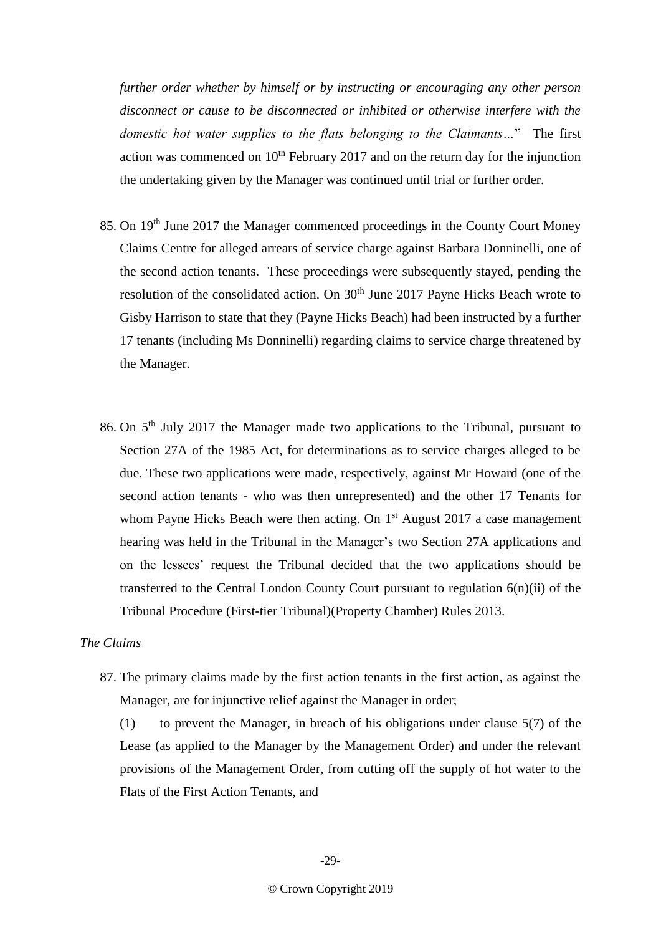*further order whether by himself or by instructing or encouraging any other person disconnect or cause to be disconnected or inhibited or otherwise interfere with the domestic hot water supplies to the flats belonging to the Claimants…*" The first action was commenced on  $10<sup>th</sup>$  February 2017 and on the return day for the injunction the undertaking given by the Manager was continued until trial or further order.

- 85. On 19<sup>th</sup> June 2017 the Manager commenced proceedings in the County Court Money Claims Centre for alleged arrears of service charge against Barbara Donninelli, one of the second action tenants. These proceedings were subsequently stayed, pending the resolution of the consolidated action. On 30<sup>th</sup> June 2017 Payne Hicks Beach wrote to Gisby Harrison to state that they (Payne Hicks Beach) had been instructed by a further 17 tenants (including Ms Donninelli) regarding claims to service charge threatened by the Manager.
- 86. On 5<sup>th</sup> July 2017 the Manager made two applications to the Tribunal, pursuant to Section 27A of the 1985 Act, for determinations as to service charges alleged to be due. These two applications were made, respectively, against Mr Howard (one of the second action tenants - who was then unrepresented) and the other 17 Tenants for whom Payne Hicks Beach were then acting. On  $1<sup>st</sup>$  August 2017 a case management hearing was held in the Tribunal in the Manager's two Section 27A applications and on the lessees' request the Tribunal decided that the two applications should be transferred to the Central London County Court pursuant to regulation 6(n)(ii) of the Tribunal Procedure (First-tier Tribunal)(Property Chamber) Rules 2013.

# *The Claims*

87. The primary claims made by the first action tenants in the first action, as against the Manager, are for injunctive relief against the Manager in order;

(1) to prevent the Manager, in breach of his obligations under clause 5(7) of the Lease (as applied to the Manager by the Management Order) and under the relevant provisions of the Management Order, from cutting off the supply of hot water to the Flats of the First Action Tenants, and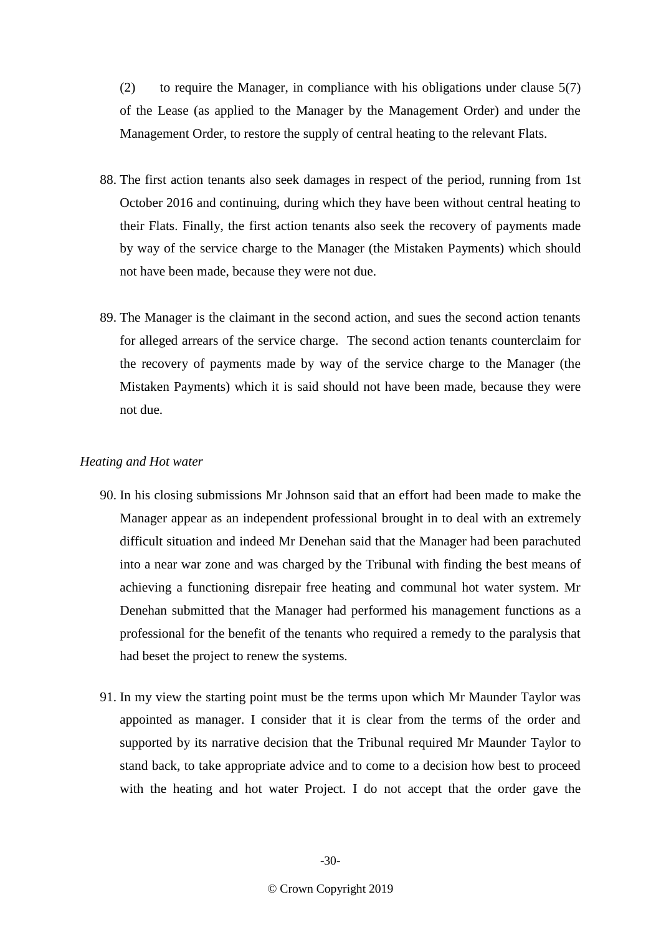(2) to require the Manager, in compliance with his obligations under clause 5(7) of the Lease (as applied to the Manager by the Management Order) and under the Management Order, to restore the supply of central heating to the relevant Flats.

- 88. The first action tenants also seek damages in respect of the period, running from 1st October 2016 and continuing, during which they have been without central heating to their Flats. Finally, the first action tenants also seek the recovery of payments made by way of the service charge to the Manager (the Mistaken Payments) which should not have been made, because they were not due.
- 89. The Manager is the claimant in the second action, and sues the second action tenants for alleged arrears of the service charge. The second action tenants counterclaim for the recovery of payments made by way of the service charge to the Manager (the Mistaken Payments) which it is said should not have been made, because they were not due.

## *Heating and Hot water*

- 90. In his closing submissions Mr Johnson said that an effort had been made to make the Manager appear as an independent professional brought in to deal with an extremely difficult situation and indeed Mr Denehan said that the Manager had been parachuted into a near war zone and was charged by the Tribunal with finding the best means of achieving a functioning disrepair free heating and communal hot water system. Mr Denehan submitted that the Manager had performed his management functions as a professional for the benefit of the tenants who required a remedy to the paralysis that had beset the project to renew the systems*.*
- 91. In my view the starting point must be the terms upon which Mr Maunder Taylor was appointed as manager. I consider that it is clear from the terms of the order and supported by its narrative decision that the Tribunal required Mr Maunder Taylor to stand back, to take appropriate advice and to come to a decision how best to proceed with the heating and hot water Project. I do not accept that the order gave the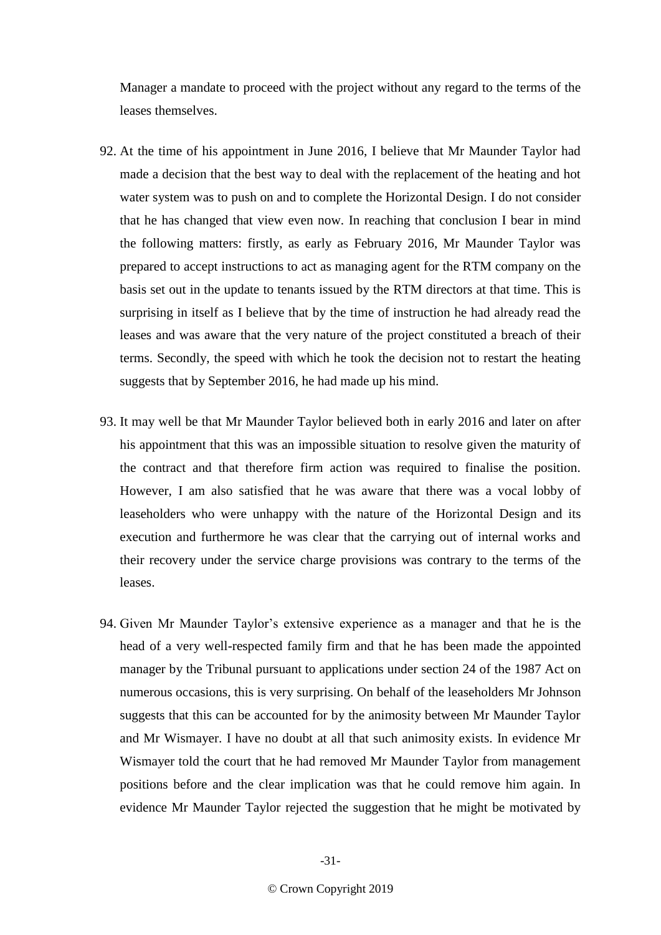Manager a mandate to proceed with the project without any regard to the terms of the leases themselves.

- 92. At the time of his appointment in June 2016, I believe that Mr Maunder Taylor had made a decision that the best way to deal with the replacement of the heating and hot water system was to push on and to complete the Horizontal Design. I do not consider that he has changed that view even now. In reaching that conclusion I bear in mind the following matters: firstly, as early as February 2016, Mr Maunder Taylor was prepared to accept instructions to act as managing agent for the RTM company on the basis set out in the update to tenants issued by the RTM directors at that time. This is surprising in itself as I believe that by the time of instruction he had already read the leases and was aware that the very nature of the project constituted a breach of their terms. Secondly, the speed with which he took the decision not to restart the heating suggests that by September 2016, he had made up his mind.
- 93. It may well be that Mr Maunder Taylor believed both in early 2016 and later on after his appointment that this was an impossible situation to resolve given the maturity of the contract and that therefore firm action was required to finalise the position. However, I am also satisfied that he was aware that there was a vocal lobby of leaseholders who were unhappy with the nature of the Horizontal Design and its execution and furthermore he was clear that the carrying out of internal works and their recovery under the service charge provisions was contrary to the terms of the leases.
- 94. Given Mr Maunder Taylor's extensive experience as a manager and that he is the head of a very well-respected family firm and that he has been made the appointed manager by the Tribunal pursuant to applications under section 24 of the 1987 Act on numerous occasions, this is very surprising. On behalf of the leaseholders Mr Johnson suggests that this can be accounted for by the animosity between Mr Maunder Taylor and Mr Wismayer. I have no doubt at all that such animosity exists. In evidence Mr Wismayer told the court that he had removed Mr Maunder Taylor from management positions before and the clear implication was that he could remove him again. In evidence Mr Maunder Taylor rejected the suggestion that he might be motivated by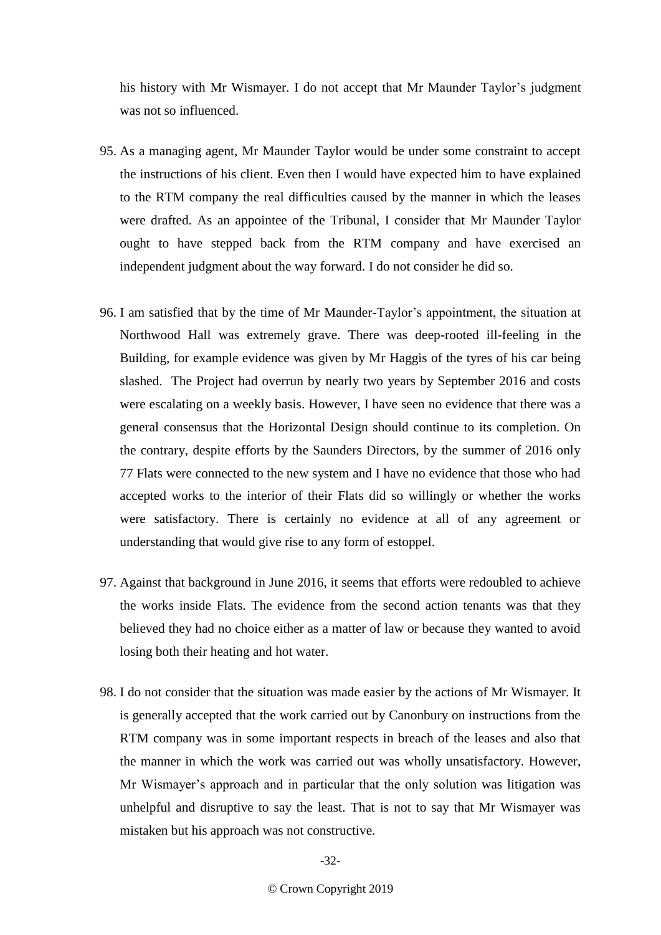his history with Mr Wismayer. I do not accept that Mr Maunder Taylor's judgment was not so influenced.

- 95. As a managing agent, Mr Maunder Taylor would be under some constraint to accept the instructions of his client. Even then I would have expected him to have explained to the RTM company the real difficulties caused by the manner in which the leases were drafted. As an appointee of the Tribunal, I consider that Mr Maunder Taylor ought to have stepped back from the RTM company and have exercised an independent judgment about the way forward. I do not consider he did so.
- 96. I am satisfied that by the time of Mr Maunder-Taylor's appointment, the situation at Northwood Hall was extremely grave. There was deep-rooted ill-feeling in the Building, for example evidence was given by Mr Haggis of the tyres of his car being slashed. The Project had overrun by nearly two years by September 2016 and costs were escalating on a weekly basis. However, I have seen no evidence that there was a general consensus that the Horizontal Design should continue to its completion. On the contrary, despite efforts by the Saunders Directors, by the summer of 2016 only 77 Flats were connected to the new system and I have no evidence that those who had accepted works to the interior of their Flats did so willingly or whether the works were satisfactory. There is certainly no evidence at all of any agreement or understanding that would give rise to any form of estoppel.
- 97. Against that background in June 2016, it seems that efforts were redoubled to achieve the works inside Flats. The evidence from the second action tenants was that they believed they had no choice either as a matter of law or because they wanted to avoid losing both their heating and hot water.
- 98. I do not consider that the situation was made easier by the actions of Mr Wismayer. It is generally accepted that the work carried out by Canonbury on instructions from the RTM company was in some important respects in breach of the leases and also that the manner in which the work was carried out was wholly unsatisfactory. However, Mr Wismayer's approach and in particular that the only solution was litigation was unhelpful and disruptive to say the least. That is not to say that Mr Wismayer was mistaken but his approach was not constructive.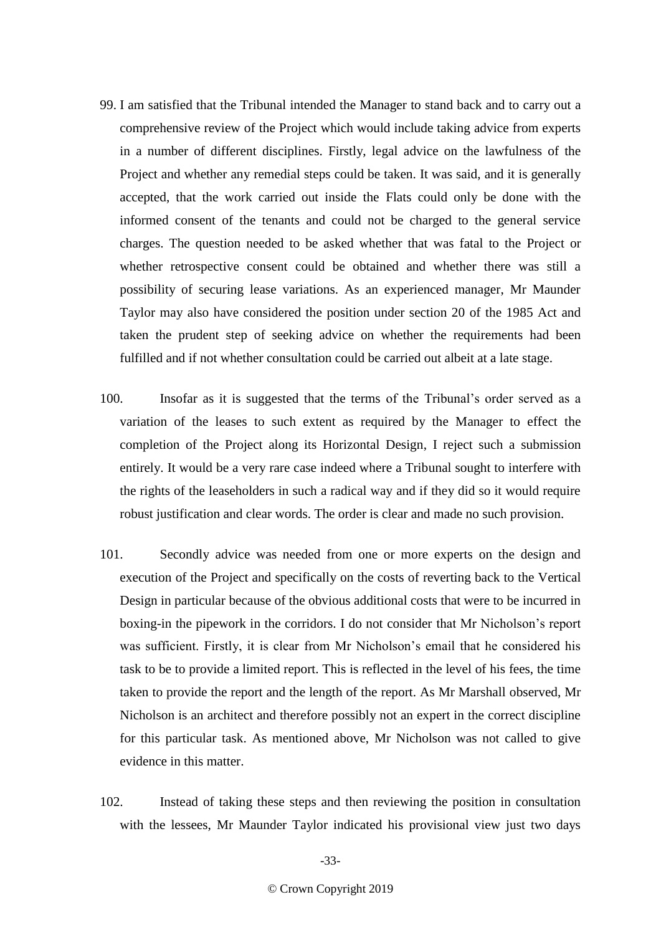- 99. I am satisfied that the Tribunal intended the Manager to stand back and to carry out a comprehensive review of the Project which would include taking advice from experts in a number of different disciplines. Firstly, legal advice on the lawfulness of the Project and whether any remedial steps could be taken. It was said, and it is generally accepted, that the work carried out inside the Flats could only be done with the informed consent of the tenants and could not be charged to the general service charges. The question needed to be asked whether that was fatal to the Project or whether retrospective consent could be obtained and whether there was still a possibility of securing lease variations. As an experienced manager, Mr Maunder Taylor may also have considered the position under section 20 of the 1985 Act and taken the prudent step of seeking advice on whether the requirements had been fulfilled and if not whether consultation could be carried out albeit at a late stage.
- 100. Insofar as it is suggested that the terms of the Tribunal's order served as a variation of the leases to such extent as required by the Manager to effect the completion of the Project along its Horizontal Design, I reject such a submission entirely. It would be a very rare case indeed where a Tribunal sought to interfere with the rights of the leaseholders in such a radical way and if they did so it would require robust justification and clear words. The order is clear and made no such provision.
- 101. Secondly advice was needed from one or more experts on the design and execution of the Project and specifically on the costs of reverting back to the Vertical Design in particular because of the obvious additional costs that were to be incurred in boxing-in the pipework in the corridors. I do not consider that Mr Nicholson's report was sufficient. Firstly, it is clear from Mr Nicholson's email that he considered his task to be to provide a limited report. This is reflected in the level of his fees, the time taken to provide the report and the length of the report. As Mr Marshall observed, Mr Nicholson is an architect and therefore possibly not an expert in the correct discipline for this particular task. As mentioned above, Mr Nicholson was not called to give evidence in this matter.
- 102. Instead of taking these steps and then reviewing the position in consultation with the lessees, Mr Maunder Taylor indicated his provisional view just two days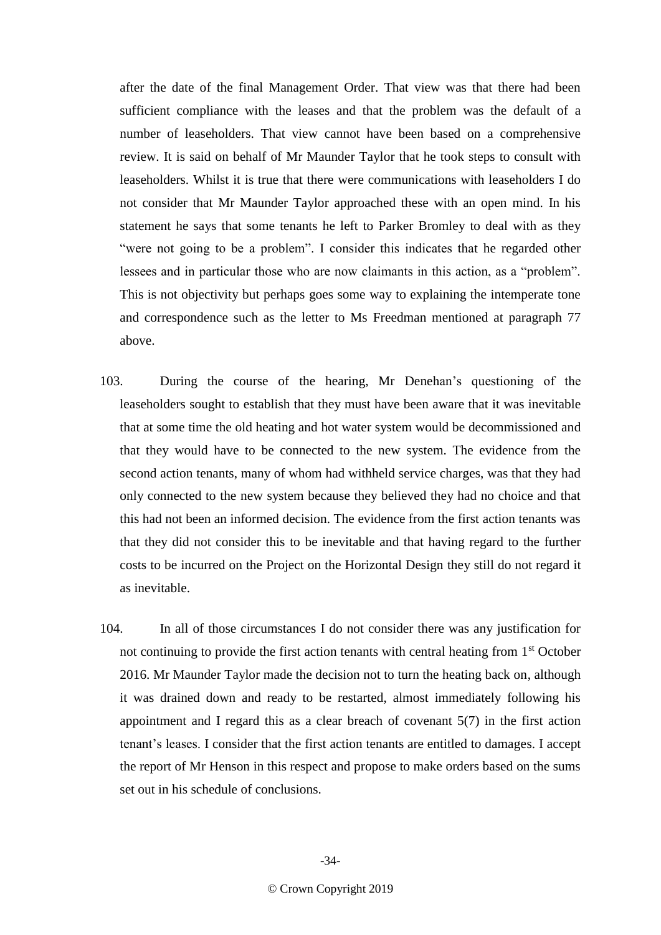after the date of the final Management Order. That view was that there had been sufficient compliance with the leases and that the problem was the default of a number of leaseholders. That view cannot have been based on a comprehensive review. It is said on behalf of Mr Maunder Taylor that he took steps to consult with leaseholders. Whilst it is true that there were communications with leaseholders I do not consider that Mr Maunder Taylor approached these with an open mind. In his statement he says that some tenants he left to Parker Bromley to deal with as they "were not going to be a problem". I consider this indicates that he regarded other lessees and in particular those who are now claimants in this action, as a "problem". This is not objectivity but perhaps goes some way to explaining the intemperate tone and correspondence such as the letter to Ms Freedman mentioned at paragraph 77 above.

- 103. During the course of the hearing, Mr Denehan's questioning of the leaseholders sought to establish that they must have been aware that it was inevitable that at some time the old heating and hot water system would be decommissioned and that they would have to be connected to the new system. The evidence from the second action tenants, many of whom had withheld service charges, was that they had only connected to the new system because they believed they had no choice and that this had not been an informed decision. The evidence from the first action tenants was that they did not consider this to be inevitable and that having regard to the further costs to be incurred on the Project on the Horizontal Design they still do not regard it as inevitable.
- 104. In all of those circumstances I do not consider there was any justification for not continuing to provide the first action tenants with central heating from 1<sup>st</sup> October 2016. Mr Maunder Taylor made the decision not to turn the heating back on, although it was drained down and ready to be restarted, almost immediately following his appointment and I regard this as a clear breach of covenant 5(7) in the first action tenant's leases. I consider that the first action tenants are entitled to damages. I accept the report of Mr Henson in this respect and propose to make orders based on the sums set out in his schedule of conclusions.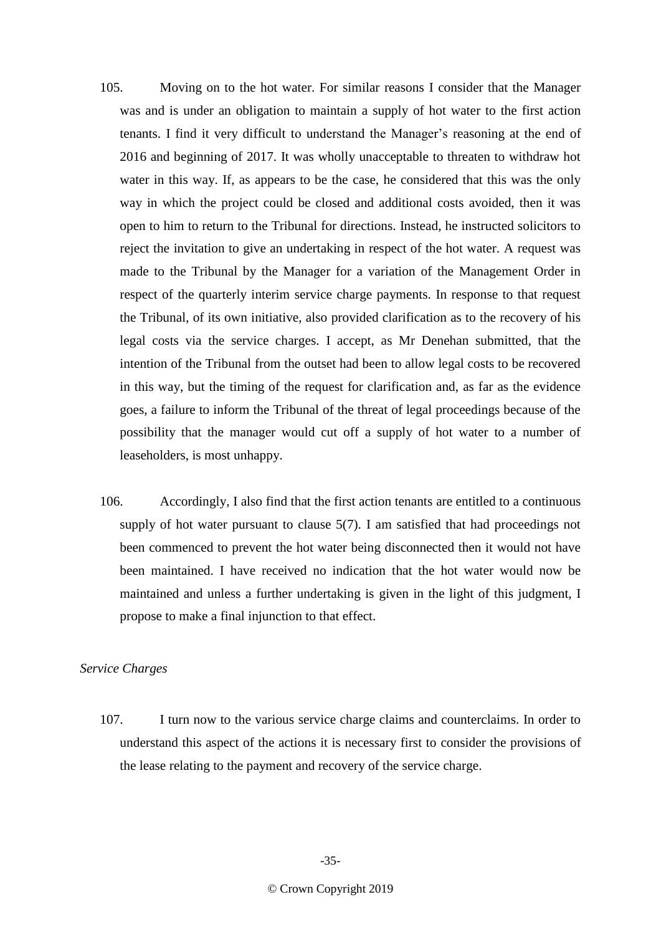- 105. Moving on to the hot water. For similar reasons I consider that the Manager was and is under an obligation to maintain a supply of hot water to the first action tenants. I find it very difficult to understand the Manager's reasoning at the end of 2016 and beginning of 2017. It was wholly unacceptable to threaten to withdraw hot water in this way. If, as appears to be the case, he considered that this was the only way in which the project could be closed and additional costs avoided, then it was open to him to return to the Tribunal for directions. Instead, he instructed solicitors to reject the invitation to give an undertaking in respect of the hot water. A request was made to the Tribunal by the Manager for a variation of the Management Order in respect of the quarterly interim service charge payments. In response to that request the Tribunal, of its own initiative, also provided clarification as to the recovery of his legal costs via the service charges. I accept, as Mr Denehan submitted, that the intention of the Tribunal from the outset had been to allow legal costs to be recovered in this way, but the timing of the request for clarification and, as far as the evidence goes, a failure to inform the Tribunal of the threat of legal proceedings because of the possibility that the manager would cut off a supply of hot water to a number of leaseholders, is most unhappy.
- 106. Accordingly, I also find that the first action tenants are entitled to a continuous supply of hot water pursuant to clause 5(7). I am satisfied that had proceedings not been commenced to prevent the hot water being disconnected then it would not have been maintained. I have received no indication that the hot water would now be maintained and unless a further undertaking is given in the light of this judgment, I propose to make a final injunction to that effect.

# *Service Charges*

107. I turn now to the various service charge claims and counterclaims. In order to understand this aspect of the actions it is necessary first to consider the provisions of the lease relating to the payment and recovery of the service charge.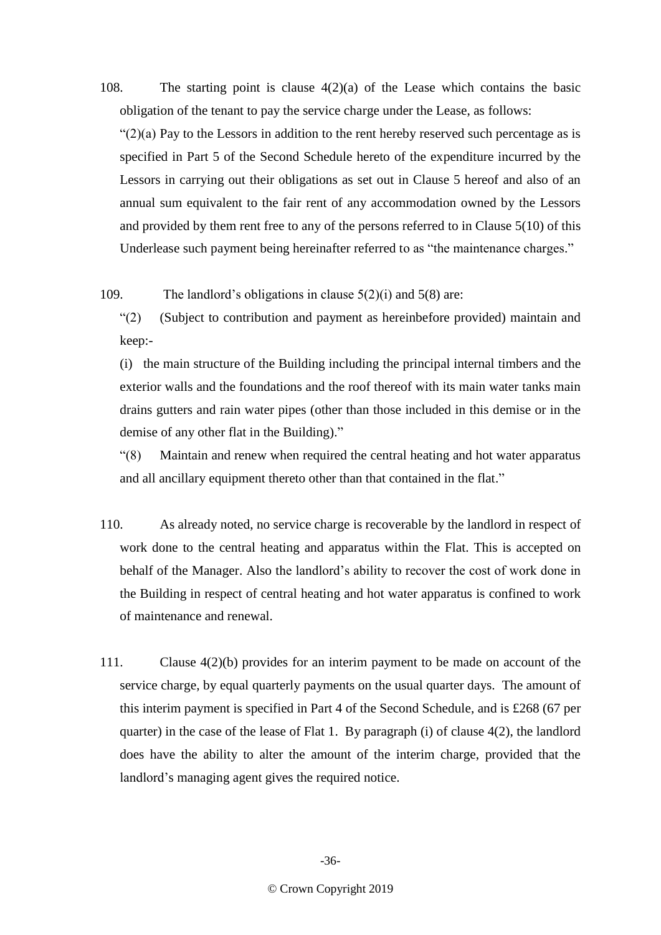108. The starting point is clause 4(2)(a) of the Lease which contains the basic obligation of the tenant to pay the service charge under the Lease, as follows:

" $(2)(a)$  Pay to the Lessors in addition to the rent hereby reserved such percentage as is specified in Part 5 of the Second Schedule hereto of the expenditure incurred by the Lessors in carrying out their obligations as set out in Clause 5 hereof and also of an annual sum equivalent to the fair rent of any accommodation owned by the Lessors and provided by them rent free to any of the persons referred to in Clause 5(10) of this Underlease such payment being hereinafter referred to as "the maintenance charges."

109. The landlord's obligations in clause 5(2)(i) and 5(8) are:

"(2) (Subject to contribution and payment as hereinbefore provided) maintain and keep:-

(i) the main structure of the Building including the principal internal timbers and the exterior walls and the foundations and the roof thereof with its main water tanks main drains gutters and rain water pipes (other than those included in this demise or in the demise of any other flat in the Building)."

"(8) Maintain and renew when required the central heating and hot water apparatus and all ancillary equipment thereto other than that contained in the flat."

- 110. As already noted, no service charge is recoverable by the landlord in respect of work done to the central heating and apparatus within the Flat. This is accepted on behalf of the Manager. Also the landlord's ability to recover the cost of work done in the Building in respect of central heating and hot water apparatus is confined to work of maintenance and renewal.
- 111. Clause 4(2)(b) provides for an interim payment to be made on account of the service charge, by equal quarterly payments on the usual quarter days. The amount of this interim payment is specified in Part 4 of the Second Schedule, and is £268 (67 per quarter) in the case of the lease of Flat 1. By paragraph (i) of clause 4(2), the landlord does have the ability to alter the amount of the interim charge, provided that the landlord's managing agent gives the required notice.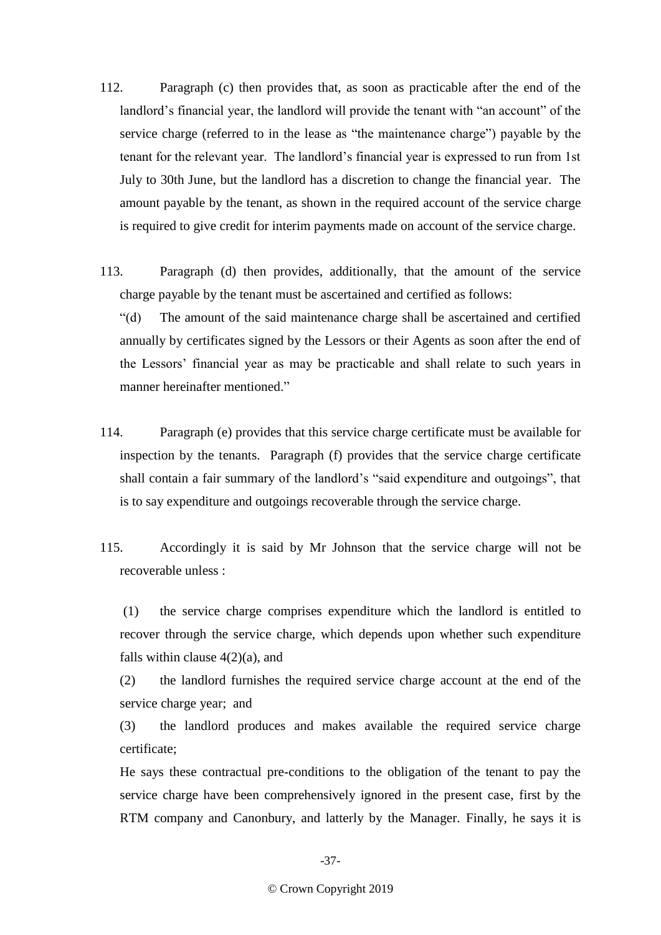- 112. Paragraph (c) then provides that, as soon as practicable after the end of the landlord's financial year, the landlord will provide the tenant with "an account" of the service charge (referred to in the lease as "the maintenance charge") payable by the tenant for the relevant year. The landlord's financial year is expressed to run from 1st July to 30th June, but the landlord has a discretion to change the financial year. The amount payable by the tenant, as shown in the required account of the service charge is required to give credit for interim payments made on account of the service charge.
- 113. Paragraph (d) then provides, additionally, that the amount of the service charge payable by the tenant must be ascertained and certified as follows:

"(d) The amount of the said maintenance charge shall be ascertained and certified annually by certificates signed by the Lessors or their Agents as soon after the end of the Lessors' financial year as may be practicable and shall relate to such years in manner hereinafter mentioned."

- 114. Paragraph (e) provides that this service charge certificate must be available for inspection by the tenants. Paragraph (f) provides that the service charge certificate shall contain a fair summary of the landlord's "said expenditure and outgoings", that is to say expenditure and outgoings recoverable through the service charge.
- 115. Accordingly it is said by Mr Johnson that the service charge will not be recoverable unless :

(1) the service charge comprises expenditure which the landlord is entitled to recover through the service charge, which depends upon whether such expenditure falls within clause  $4(2)(a)$ , and

(2) the landlord furnishes the required service charge account at the end of the service charge year; and

(3) the landlord produces and makes available the required service charge certificate;

He says these contractual pre-conditions to the obligation of the tenant to pay the service charge have been comprehensively ignored in the present case, first by the RTM company and Canonbury, and latterly by the Manager. Finally, he says it is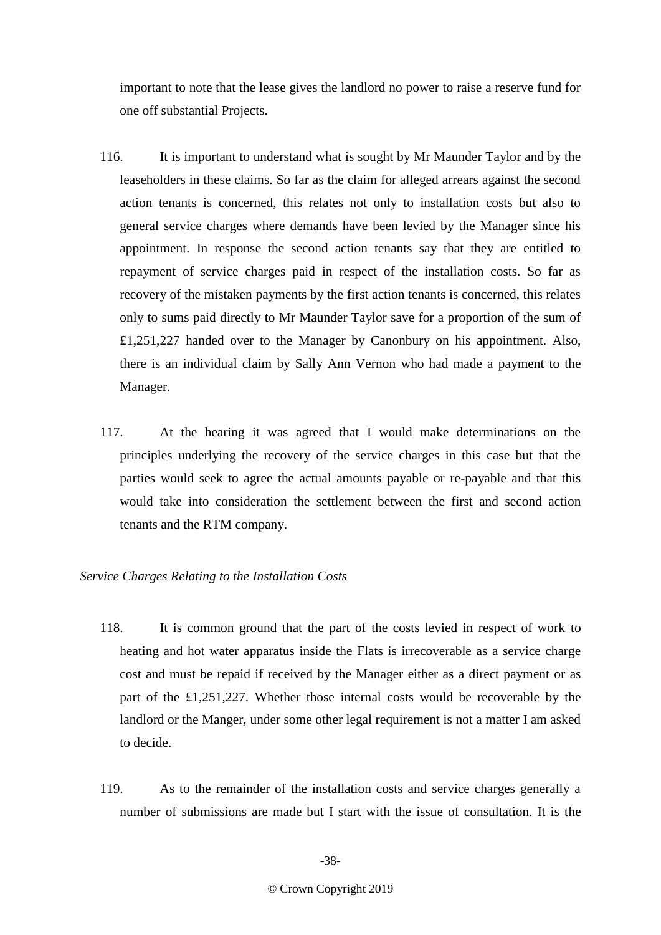important to note that the lease gives the landlord no power to raise a reserve fund for one off substantial Projects.

- 116. It is important to understand what is sought by Mr Maunder Taylor and by the leaseholders in these claims. So far as the claim for alleged arrears against the second action tenants is concerned, this relates not only to installation costs but also to general service charges where demands have been levied by the Manager since his appointment. In response the second action tenants say that they are entitled to repayment of service charges paid in respect of the installation costs. So far as recovery of the mistaken payments by the first action tenants is concerned, this relates only to sums paid directly to Mr Maunder Taylor save for a proportion of the sum of £1,251,227 handed over to the Manager by Canonbury on his appointment. Also, there is an individual claim by Sally Ann Vernon who had made a payment to the Manager.
- 117. At the hearing it was agreed that I would make determinations on the principles underlying the recovery of the service charges in this case but that the parties would seek to agree the actual amounts payable or re-payable and that this would take into consideration the settlement between the first and second action tenants and the RTM company.

## *Service Charges Relating to the Installation Costs*

- 118. It is common ground that the part of the costs levied in respect of work to heating and hot water apparatus inside the Flats is irrecoverable as a service charge cost and must be repaid if received by the Manager either as a direct payment or as part of the £1,251,227. Whether those internal costs would be recoverable by the landlord or the Manger, under some other legal requirement is not a matter I am asked to decide.
- 119. As to the remainder of the installation costs and service charges generally a number of submissions are made but I start with the issue of consultation. It is the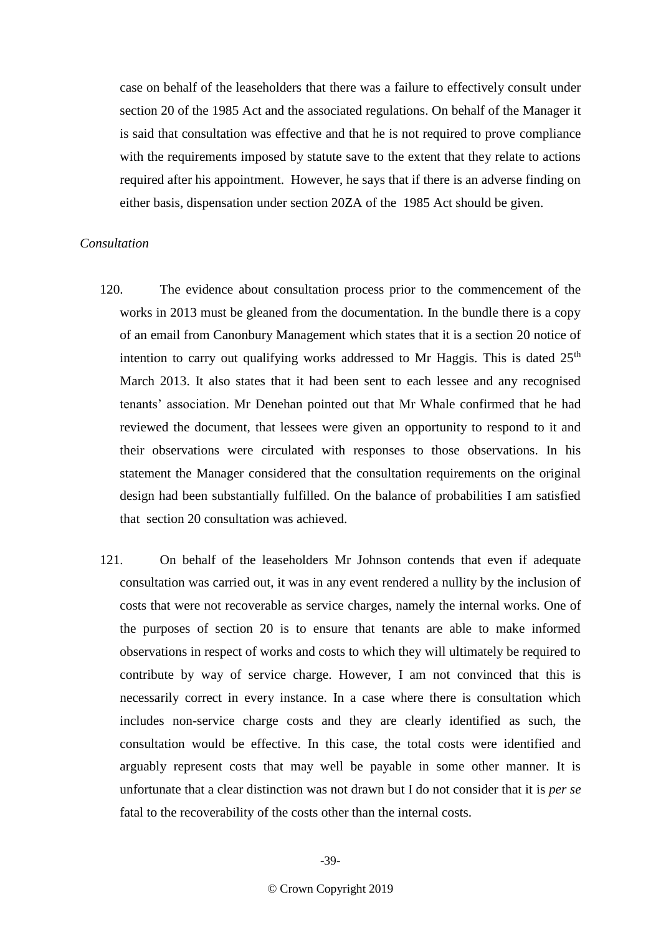case on behalf of the leaseholders that there was a failure to effectively consult under section 20 of the 1985 Act and the associated regulations. On behalf of the Manager it is said that consultation was effective and that he is not required to prove compliance with the requirements imposed by statute save to the extent that they relate to actions required after his appointment. However, he says that if there is an adverse finding on either basis, dispensation under section 20ZA of the 1985 Act should be given.

#### *Consultation*

- 120. The evidence about consultation process prior to the commencement of the works in 2013 must be gleaned from the documentation. In the bundle there is a copy of an email from Canonbury Management which states that it is a section 20 notice of intention to carry out qualifying works addressed to Mr Haggis. This is dated  $25<sup>th</sup>$ March 2013. It also states that it had been sent to each lessee and any recognised tenants' association. Mr Denehan pointed out that Mr Whale confirmed that he had reviewed the document, that lessees were given an opportunity to respond to it and their observations were circulated with responses to those observations. In his statement the Manager considered that the consultation requirements on the original design had been substantially fulfilled. On the balance of probabilities I am satisfied that section 20 consultation was achieved.
- 121. On behalf of the leaseholders Mr Johnson contends that even if adequate consultation was carried out, it was in any event rendered a nullity by the inclusion of costs that were not recoverable as service charges, namely the internal works. One of the purposes of section 20 is to ensure that tenants are able to make informed observations in respect of works and costs to which they will ultimately be required to contribute by way of service charge. However, I am not convinced that this is necessarily correct in every instance. In a case where there is consultation which includes non-service charge costs and they are clearly identified as such, the consultation would be effective. In this case, the total costs were identified and arguably represent costs that may well be payable in some other manner. It is unfortunate that a clear distinction was not drawn but I do not consider that it is *per se* fatal to the recoverability of the costs other than the internal costs.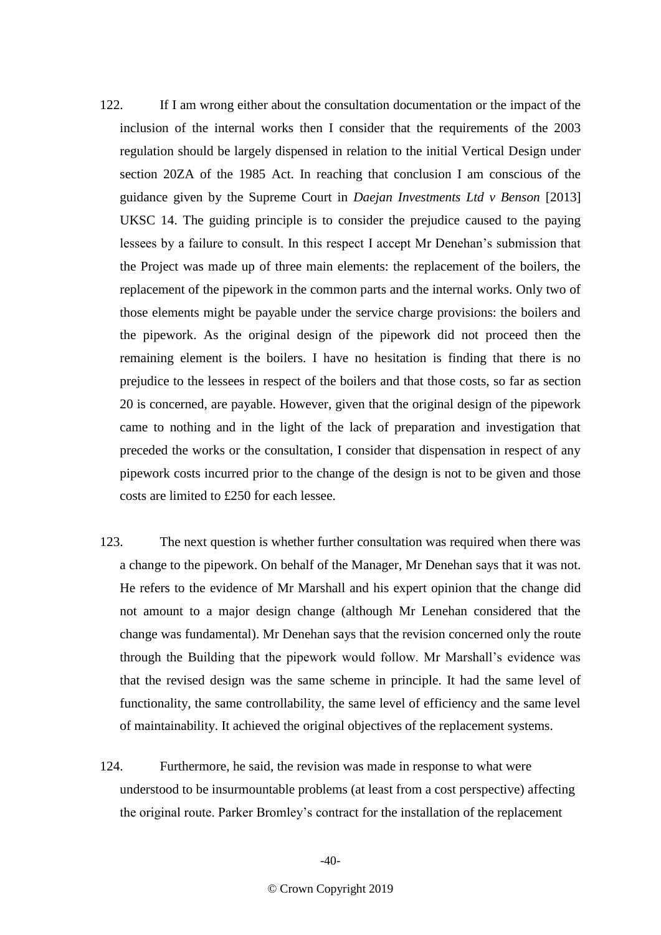- 122. If I am wrong either about the consultation documentation or the impact of the inclusion of the internal works then I consider that the requirements of the 2003 regulation should be largely dispensed in relation to the initial Vertical Design under section 20ZA of the 1985 Act. In reaching that conclusion I am conscious of the guidance given by the Supreme Court in *Daejan Investments Ltd v Benson* [2013] UKSC 14. The guiding principle is to consider the prejudice caused to the paying lessees by a failure to consult. In this respect I accept Mr Denehan's submission that the Project was made up of three main elements: the replacement of the boilers, the replacement of the pipework in the common parts and the internal works. Only two of those elements might be payable under the service charge provisions: the boilers and the pipework. As the original design of the pipework did not proceed then the remaining element is the boilers. I have no hesitation is finding that there is no prejudice to the lessees in respect of the boilers and that those costs, so far as section 20 is concerned, are payable. However, given that the original design of the pipework came to nothing and in the light of the lack of preparation and investigation that preceded the works or the consultation, I consider that dispensation in respect of any pipework costs incurred prior to the change of the design is not to be given and those costs are limited to £250 for each lessee.
- 123. The next question is whether further consultation was required when there was a change to the pipework. On behalf of the Manager, Mr Denehan says that it was not. He refers to the evidence of Mr Marshall and his expert opinion that the change did not amount to a major design change (although Mr Lenehan considered that the change was fundamental). Mr Denehan says that the revision concerned only the route through the Building that the pipework would follow. Mr Marshall's evidence was that the revised design was the same scheme in principle. It had the same level of functionality, the same controllability, the same level of efficiency and the same level of maintainability. It achieved the original objectives of the replacement systems.
- 124. Furthermore, he said, the revision was made in response to what were understood to be insurmountable problems (at least from a cost perspective) affecting the original route. Parker Bromley's contract for the installation of the replacement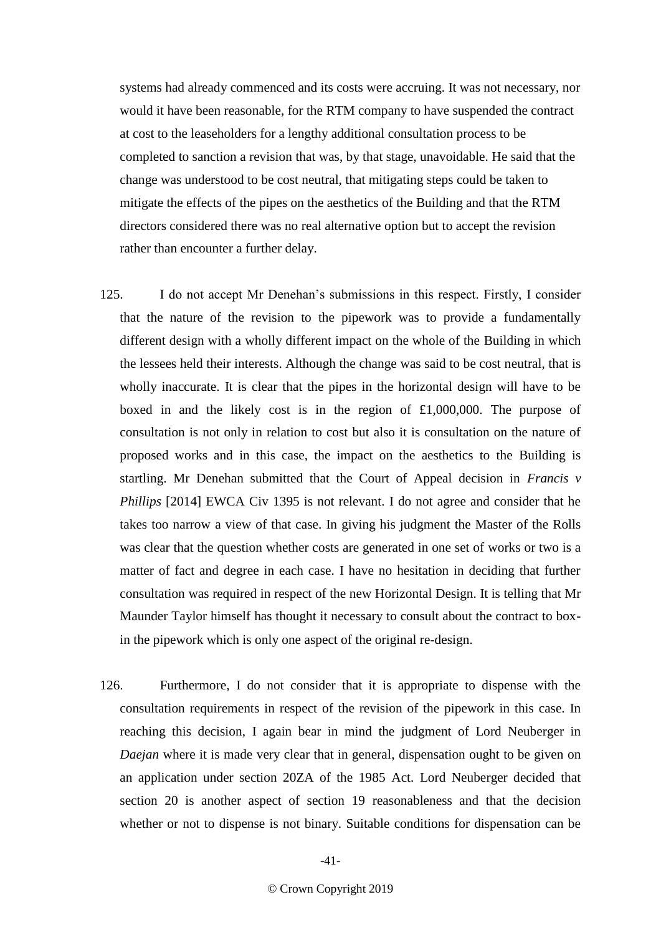systems had already commenced and its costs were accruing. It was not necessary, nor would it have been reasonable, for the RTM company to have suspended the contract at cost to the leaseholders for a lengthy additional consultation process to be completed to sanction a revision that was, by that stage, unavoidable. He said that the change was understood to be cost neutral, that mitigating steps could be taken to mitigate the effects of the pipes on the aesthetics of the Building and that the RTM directors considered there was no real alternative option but to accept the revision rather than encounter a further delay.

- 125. I do not accept Mr Denehan's submissions in this respect. Firstly, I consider that the nature of the revision to the pipework was to provide a fundamentally different design with a wholly different impact on the whole of the Building in which the lessees held their interests. Although the change was said to be cost neutral, that is wholly inaccurate. It is clear that the pipes in the horizontal design will have to be boxed in and the likely cost is in the region of £1,000,000. The purpose of consultation is not only in relation to cost but also it is consultation on the nature of proposed works and in this case, the impact on the aesthetics to the Building is startling. Mr Denehan submitted that the Court of Appeal decision in *Francis v Phillips* [2014] EWCA Civ 1395 is not relevant. I do not agree and consider that he takes too narrow a view of that case. In giving his judgment the Master of the Rolls was clear that the question whether costs are generated in one set of works or two is a matter of fact and degree in each case. I have no hesitation in deciding that further consultation was required in respect of the new Horizontal Design. It is telling that Mr Maunder Taylor himself has thought it necessary to consult about the contract to boxin the pipework which is only one aspect of the original re-design.
- 126. Furthermore, I do not consider that it is appropriate to dispense with the consultation requirements in respect of the revision of the pipework in this case. In reaching this decision, I again bear in mind the judgment of Lord Neuberger in *Daejan* where it is made very clear that in general, dispensation ought to be given on an application under section 20ZA of the 1985 Act. Lord Neuberger decided that section 20 is another aspect of section 19 reasonableness and that the decision whether or not to dispense is not binary. Suitable conditions for dispensation can be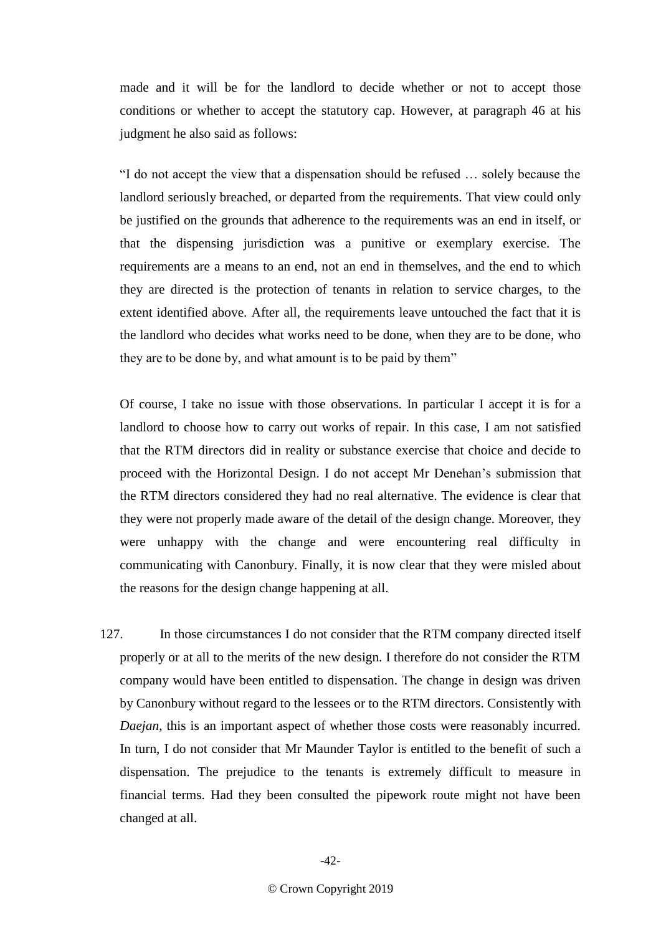made and it will be for the landlord to decide whether or not to accept those conditions or whether to accept the statutory cap. However, at paragraph 46 at his judgment he also said as follows:

"I do not accept the view that a dispensation should be refused … solely because the landlord seriously breached, or departed from the requirements. That view could only be justified on the grounds that adherence to the requirements was an end in itself, or that the dispensing jurisdiction was a punitive or exemplary exercise. The requirements are a means to an end, not an end in themselves, and the end to which they are directed is the protection of tenants in relation to service charges, to the extent identified above. After all, the requirements leave untouched the fact that it is the landlord who decides what works need to be done, when they are to be done, who they are to be done by, and what amount is to be paid by them"

Of course, I take no issue with those observations. In particular I accept it is for a landlord to choose how to carry out works of repair. In this case, I am not satisfied that the RTM directors did in reality or substance exercise that choice and decide to proceed with the Horizontal Design. I do not accept Mr Denehan's submission that the RTM directors considered they had no real alternative. The evidence is clear that they were not properly made aware of the detail of the design change. Moreover, they were unhappy with the change and were encountering real difficulty in communicating with Canonbury. Finally, it is now clear that they were misled about the reasons for the design change happening at all.

127. In those circumstances I do not consider that the RTM company directed itself properly or at all to the merits of the new design. I therefore do not consider the RTM company would have been entitled to dispensation. The change in design was driven by Canonbury without regard to the lessees or to the RTM directors. Consistently with *Daejan*, this is an important aspect of whether those costs were reasonably incurred. In turn, I do not consider that Mr Maunder Taylor is entitled to the benefit of such a dispensation. The prejudice to the tenants is extremely difficult to measure in financial terms. Had they been consulted the pipework route might not have been changed at all.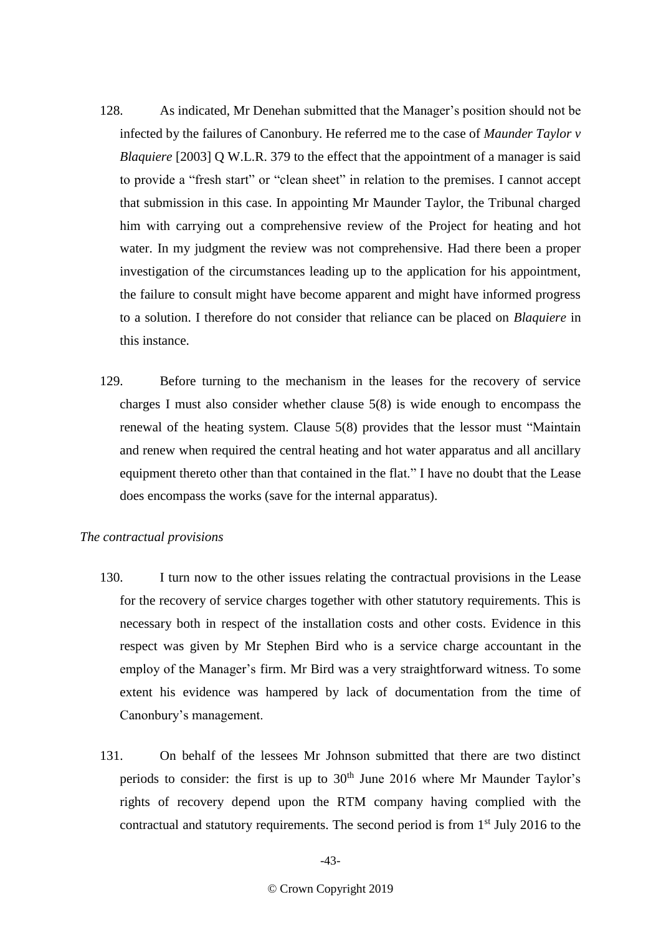- 128. As indicated, Mr Denehan submitted that the Manager's position should not be infected by the failures of Canonbury. He referred me to the case of *Maunder Taylor v Blaquiere* [2003] Q W.L.R. 379 to the effect that the appointment of a manager is said to provide a "fresh start" or "clean sheet" in relation to the premises. I cannot accept that submission in this case. In appointing Mr Maunder Taylor, the Tribunal charged him with carrying out a comprehensive review of the Project for heating and hot water. In my judgment the review was not comprehensive. Had there been a proper investigation of the circumstances leading up to the application for his appointment, the failure to consult might have become apparent and might have informed progress to a solution. I therefore do not consider that reliance can be placed on *Blaquiere* in this instance.
- 129. Before turning to the mechanism in the leases for the recovery of service charges I must also consider whether clause 5(8) is wide enough to encompass the renewal of the heating system. Clause 5(8) provides that the lessor must "Maintain and renew when required the central heating and hot water apparatus and all ancillary equipment thereto other than that contained in the flat." I have no doubt that the Lease does encompass the works (save for the internal apparatus).

# *The contractual provisions*

- 130. I turn now to the other issues relating the contractual provisions in the Lease for the recovery of service charges together with other statutory requirements. This is necessary both in respect of the installation costs and other costs. Evidence in this respect was given by Mr Stephen Bird who is a service charge accountant in the employ of the Manager's firm. Mr Bird was a very straightforward witness. To some extent his evidence was hampered by lack of documentation from the time of Canonbury's management.
- 131. On behalf of the lessees Mr Johnson submitted that there are two distinct periods to consider: the first is up to  $30<sup>th</sup>$  June 2016 where Mr Maunder Taylor's rights of recovery depend upon the RTM company having complied with the contractual and statutory requirements. The second period is from 1<sup>st</sup> July 2016 to the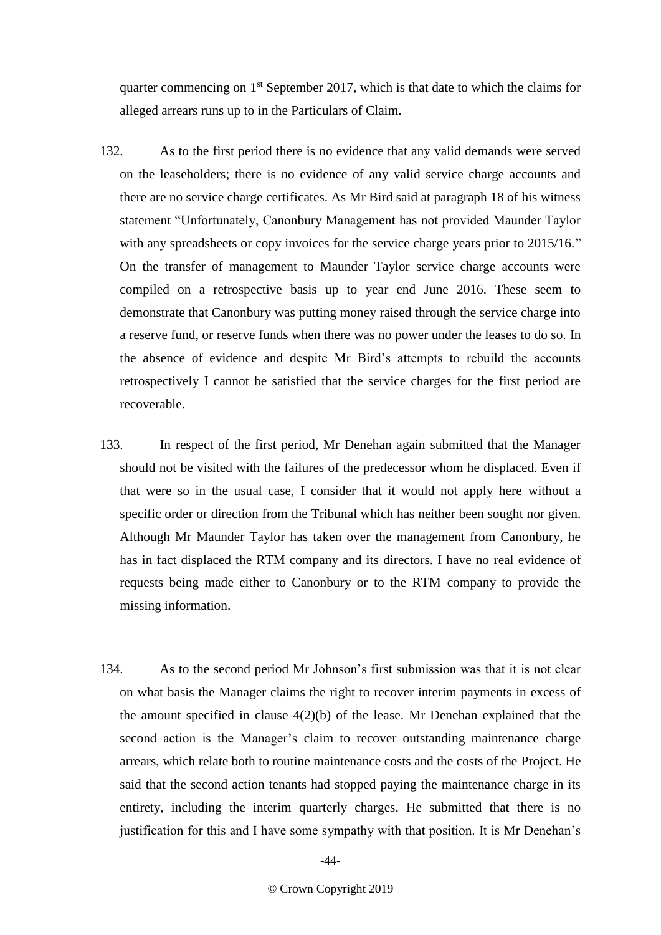quarter commencing on  $1<sup>st</sup>$  September 2017, which is that date to which the claims for alleged arrears runs up to in the Particulars of Claim.

- 132. As to the first period there is no evidence that any valid demands were served on the leaseholders; there is no evidence of any valid service charge accounts and there are no service charge certificates. As Mr Bird said at paragraph 18 of his witness statement "Unfortunately, Canonbury Management has not provided Maunder Taylor with any spreadsheets or copy invoices for the service charge years prior to 2015/16." On the transfer of management to Maunder Taylor service charge accounts were compiled on a retrospective basis up to year end June 2016. These seem to demonstrate that Canonbury was putting money raised through the service charge into a reserve fund, or reserve funds when there was no power under the leases to do so. In the absence of evidence and despite Mr Bird's attempts to rebuild the accounts retrospectively I cannot be satisfied that the service charges for the first period are recoverable.
- 133. In respect of the first period, Mr Denehan again submitted that the Manager should not be visited with the failures of the predecessor whom he displaced. Even if that were so in the usual case, I consider that it would not apply here without a specific order or direction from the Tribunal which has neither been sought nor given. Although Mr Maunder Taylor has taken over the management from Canonbury, he has in fact displaced the RTM company and its directors. I have no real evidence of requests being made either to Canonbury or to the RTM company to provide the missing information.
- 134. As to the second period Mr Johnson's first submission was that it is not clear on what basis the Manager claims the right to recover interim payments in excess of the amount specified in clause 4(2)(b) of the lease. Mr Denehan explained that the second action is the Manager's claim to recover outstanding maintenance charge arrears, which relate both to routine maintenance costs and the costs of the Project. He said that the second action tenants had stopped paying the maintenance charge in its entirety, including the interim quarterly charges. He submitted that there is no justification for this and I have some sympathy with that position. It is Mr Denehan's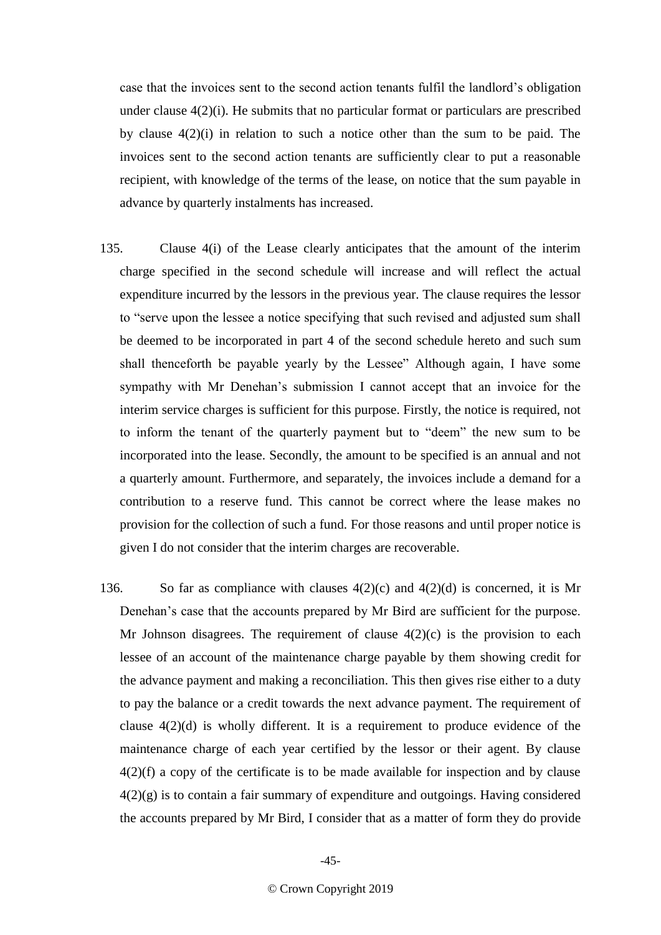case that the invoices sent to the second action tenants fulfil the landlord's obligation under clause 4(2)(i). He submits that no particular format or particulars are prescribed by clause 4(2)(i) in relation to such a notice other than the sum to be paid. The invoices sent to the second action tenants are sufficiently clear to put a reasonable recipient, with knowledge of the terms of the lease, on notice that the sum payable in advance by quarterly instalments has increased.

- 135. Clause 4(i) of the Lease clearly anticipates that the amount of the interim charge specified in the second schedule will increase and will reflect the actual expenditure incurred by the lessors in the previous year. The clause requires the lessor to "serve upon the lessee a notice specifying that such revised and adjusted sum shall be deemed to be incorporated in part 4 of the second schedule hereto and such sum shall thenceforth be payable yearly by the Lessee" Although again, I have some sympathy with Mr Denehan's submission I cannot accept that an invoice for the interim service charges is sufficient for this purpose. Firstly, the notice is required, not to inform the tenant of the quarterly payment but to "deem" the new sum to be incorporated into the lease. Secondly, the amount to be specified is an annual and not a quarterly amount. Furthermore, and separately, the invoices include a demand for a contribution to a reserve fund. This cannot be correct where the lease makes no provision for the collection of such a fund. For those reasons and until proper notice is given I do not consider that the interim charges are recoverable.
- 136. So far as compliance with clauses  $4(2)(c)$  and  $4(2)(d)$  is concerned, it is Mr Denehan's case that the accounts prepared by Mr Bird are sufficient for the purpose. Mr Johnson disagrees. The requirement of clause  $4(2)(c)$  is the provision to each lessee of an account of the maintenance charge payable by them showing credit for the advance payment and making a reconciliation. This then gives rise either to a duty to pay the balance or a credit towards the next advance payment. The requirement of clause 4(2)(d) is wholly different. It is a requirement to produce evidence of the maintenance charge of each year certified by the lessor or their agent. By clause 4(2)(f) a copy of the certificate is to be made available for inspection and by clause 4(2)(g) is to contain a fair summary of expenditure and outgoings. Having considered the accounts prepared by Mr Bird, I consider that as a matter of form they do provide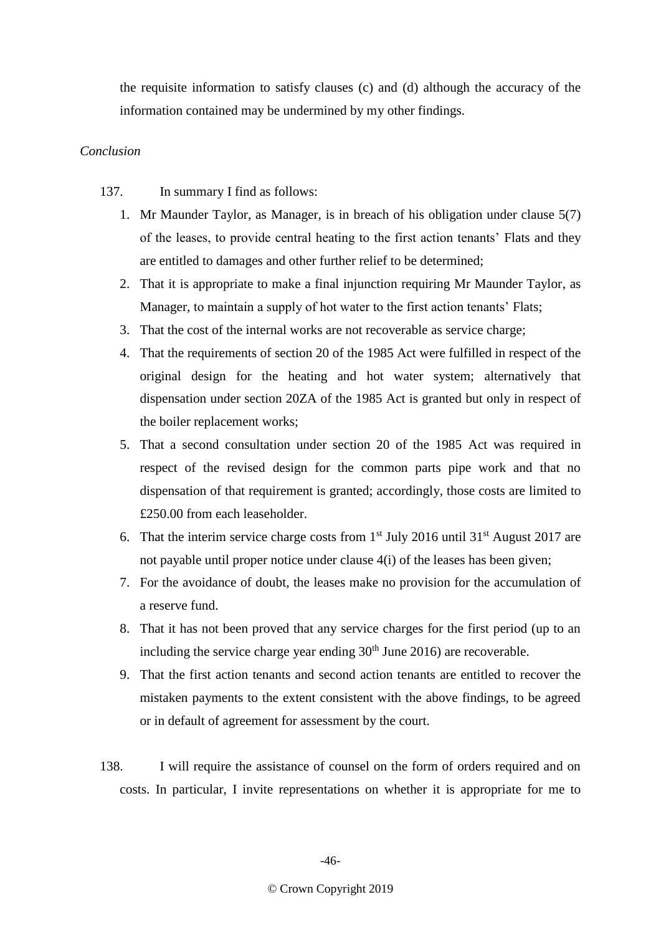the requisite information to satisfy clauses (c) and (d) although the accuracy of the information contained may be undermined by my other findings.

# *Conclusion*

137. In summary I find as follows:

- 1. Mr Maunder Taylor, as Manager, is in breach of his obligation under clause 5(7) of the leases, to provide central heating to the first action tenants' Flats and they are entitled to damages and other further relief to be determined;
- 2. That it is appropriate to make a final injunction requiring Mr Maunder Taylor, as Manager, to maintain a supply of hot water to the first action tenants' Flats;
- 3. That the cost of the internal works are not recoverable as service charge;
- 4. That the requirements of section 20 of the 1985 Act were fulfilled in respect of the original design for the heating and hot water system; alternatively that dispensation under section 20ZA of the 1985 Act is granted but only in respect of the boiler replacement works;
- 5. That a second consultation under section 20 of the 1985 Act was required in respect of the revised design for the common parts pipe work and that no dispensation of that requirement is granted; accordingly, those costs are limited to £250.00 from each leaseholder.
- 6. That the interim service charge costs from  $1<sup>st</sup>$  July 2016 until 31 $<sup>st</sup>$  August 2017 are</sup> not payable until proper notice under clause 4(i) of the leases has been given;
- 7. For the avoidance of doubt, the leases make no provision for the accumulation of a reserve fund.
- 8. That it has not been proved that any service charges for the first period (up to an including the service charge year ending  $30<sup>th</sup>$  June 2016) are recoverable.
- 9. That the first action tenants and second action tenants are entitled to recover the mistaken payments to the extent consistent with the above findings, to be agreed or in default of agreement for assessment by the court.
- 138. I will require the assistance of counsel on the form of orders required and on costs. In particular, I invite representations on whether it is appropriate for me to